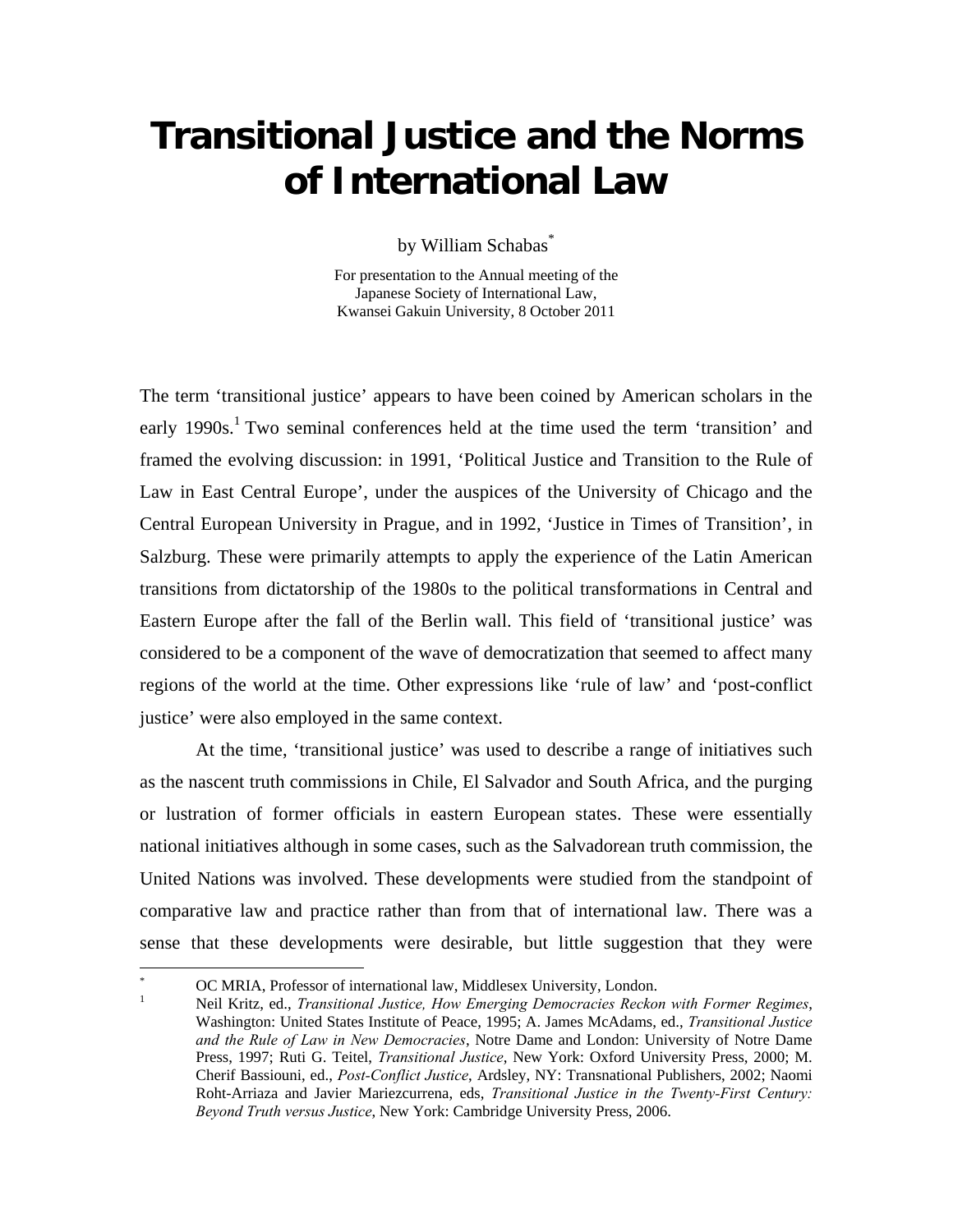# **Transitional Justice and the Norms of International Law**

by William Schabas<sup>\*</sup>

For presentation to the Annual meeting of the Japanese Society of International Law, Kwansei Gakuin University, 8 October 2011

The term 'transitional justice' appears to have been coined by American scholars in the early 1990s.<sup>1</sup> Two seminal conferences held at the time used the term 'transition' and framed the evolving discussion: in 1991, 'Political Justice and Transition to the Rule of Law in East Central Europe', under the auspices of the University of Chicago and the Central European University in Prague, and in 1992, 'Justice in Times of Transition', in Salzburg. These were primarily attempts to apply the experience of the Latin American transitions from dictatorship of the 1980s to the political transformations in Central and Eastern Europe after the fall of the Berlin wall. This field of 'transitional justice' was considered to be a component of the wave of democratization that seemed to affect many regions of the world at the time. Other expressions like 'rule of law' and 'post-conflict justice' were also employed in the same context.

At the time, 'transitional justice' was used to describe a range of initiatives such as the nascent truth commissions in Chile, El Salvador and South Africa, and the purging or lustration of former officials in eastern European states. These were essentially national initiatives although in some cases, such as the Salvadorean truth commission, the United Nations was involved. These developments were studied from the standpoint of comparative law and practice rather than from that of international law. There was a sense that these developments were desirable, but little suggestion that they were

 $\overline{a}$ 

<sup>\*</sup> OC MRIA, Professor of international law, Middlesex University, London. 1

Neil Kritz, ed., *Transitional Justice, How Emerging Democracies Reckon with Former Regimes*, Washington: United States Institute of Peace, 1995; A. James McAdams, ed., *Transitional Justice and the Rule of Law in New Democracies*, Notre Dame and London: University of Notre Dame Press, 1997; Ruti G. Teitel, *Transitional Justice*, New York: Oxford University Press, 2000; M. Cherif Bassiouni, ed., *Post-Conflict Justice*, Ardsley, NY: Transnational Publishers, 2002; Naomi Roht-Arriaza and Javier Mariezcurrena, eds, *Transitional Justice in the Twenty-First Century: Beyond Truth versus Justice*, New York: Cambridge University Press, 2006.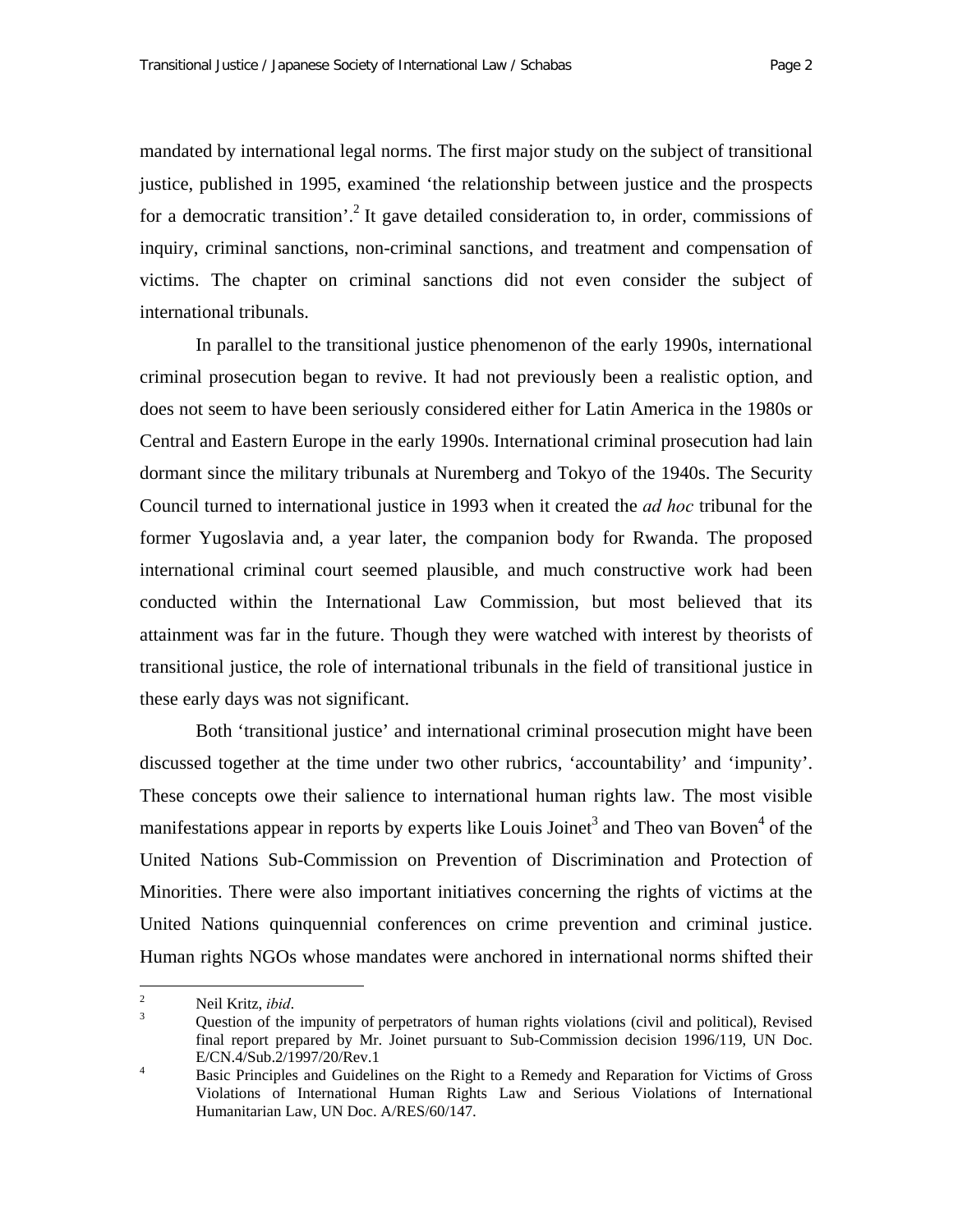mandated by international legal norms. The first major study on the subject of transitional justice, published in 1995, examined 'the relationship between justice and the prospects for a democratic transition'.<sup>2</sup> It gave detailed consideration to, in order, commissions of inquiry, criminal sanctions, non-criminal sanctions, and treatment and compensation of victims. The chapter on criminal sanctions did not even consider the subject of international tribunals.

In parallel to the transitional justice phenomenon of the early 1990s, international criminal prosecution began to revive. It had not previously been a realistic option, and does not seem to have been seriously considered either for Latin America in the 1980s or Central and Eastern Europe in the early 1990s. International criminal prosecution had lain dormant since the military tribunals at Nuremberg and Tokyo of the 1940s. The Security Council turned to international justice in 1993 when it created the *ad hoc* tribunal for the former Yugoslavia and, a year later, the companion body for Rwanda. The proposed international criminal court seemed plausible, and much constructive work had been conducted within the International Law Commission, but most believed that its attainment was far in the future. Though they were watched with interest by theorists of transitional justice, the role of international tribunals in the field of transitional justice in these early days was not significant.

 Both 'transitional justice' and international criminal prosecution might have been discussed together at the time under two other rubrics, 'accountability' and 'impunity'. These concepts owe their salience to international human rights law. The most visible manifestations appear in reports by experts like Louis Joinet<sup>3</sup> and Theo van Boven<sup>4</sup> of the United Nations Sub-Commission on Prevention of Discrimination and Protection of Minorities. There were also important initiatives concerning the rights of victims at the United Nations quinquennial conferences on crime prevention and criminal justice. Human rights NGOs whose mandates were anchored in international norms shifted their

 $\frac{1}{2}$ <sup>2</sup> Neil Kritz, *ibid*.

Question of the impunity of perpetrators of human rights violations (civil and political), Revised final report prepared by Mr. Joinet pursuant to Sub-Commission decision 1996/119, UN Doc.  $E/CN.4/Sub.2/1997/20/Rev.1$ 

Basic Principles and Guidelines on the Right to a Remedy and Reparation for Victims of Gross Violations of International Human Rights Law and Serious Violations of International Humanitarian Law, UN Doc. A/RES/60/147.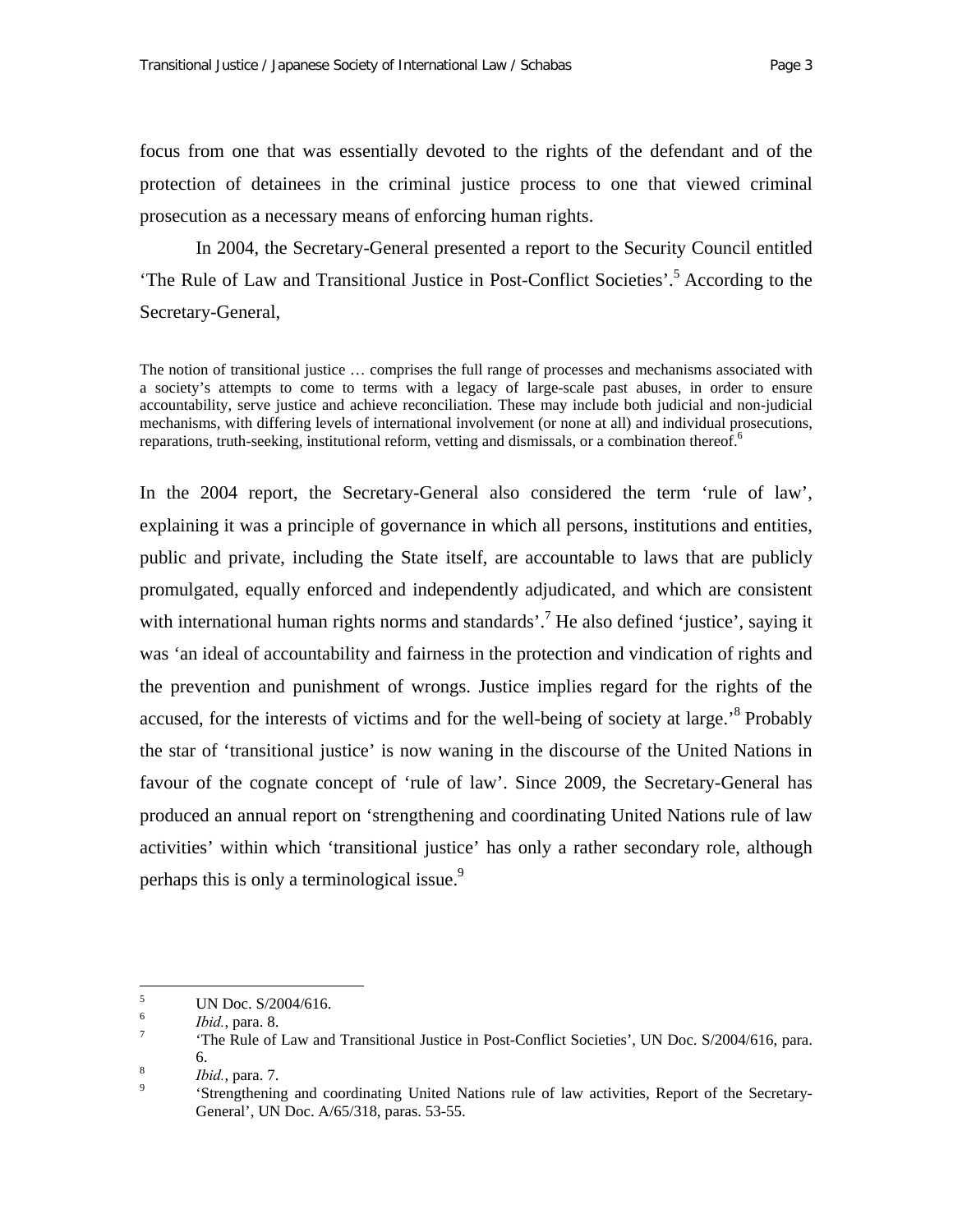focus from one that was essentially devoted to the rights of the defendant and of the protection of detainees in the criminal justice process to one that viewed criminal prosecution as a necessary means of enforcing human rights.

 In 2004, the Secretary-General presented a report to the Security Council entitled 'The Rule of Law and Transitional Justice in Post-Conflict Societies'.<sup>5</sup> According to the Secretary-General,

The notion of transitional justice … comprises the full range of processes and mechanisms associated with a society's attempts to come to terms with a legacy of large-scale past abuses, in order to ensure accountability, serve justice and achieve reconciliation. These may include both judicial and non-judicial mechanisms, with differing levels of international involvement (or none at all) and individual prosecutions, reparations, truth-seeking, institutional reform, vetting and dismissals, or a combination thereof.<sup>6</sup>

In the 2004 report, the Secretary-General also considered the term 'rule of law', explaining it was a principle of governance in which all persons, institutions and entities, public and private, including the State itself, are accountable to laws that are publicly promulgated, equally enforced and independently adjudicated, and which are consistent with international human rights norms and standards'.<sup>7</sup> He also defined 'justice', saying it was 'an ideal of accountability and fairness in the protection and vindication of rights and the prevention and punishment of wrongs. Justice implies regard for the rights of the accused, for the interests of victims and for the well-being of society at large.<sup>8</sup> Probably the star of 'transitional justice' is now waning in the discourse of the United Nations in favour of the cognate concept of 'rule of law'. Since 2009, the Secretary-General has produced an annual report on 'strengthening and coordinating United Nations rule of law activities' within which 'transitional justice' has only a rather secondary role, although perhaps this is only a terminological issue.<sup>9</sup>

 5 UN Doc. S/2004/616. 6

 $\frac{1}{7}$  *Ibid.*, para. 8.

 <sup>&#</sup>x27;The Rule of Law and Transitional Justice in Post-Conflict Societies', UN Doc. S/2004/616, para.  $\begin{array}{ccc} 8 & & & 6. \\ & & & \end{array}$ 

 $I_{\text{B}}^{8}$  *Ibid.*, para. 7.

 <sup>&#</sup>x27;Strengthening and coordinating United Nations rule of law activities, Report of the Secretary-General', UN Doc. A/65/318, paras. 53-55.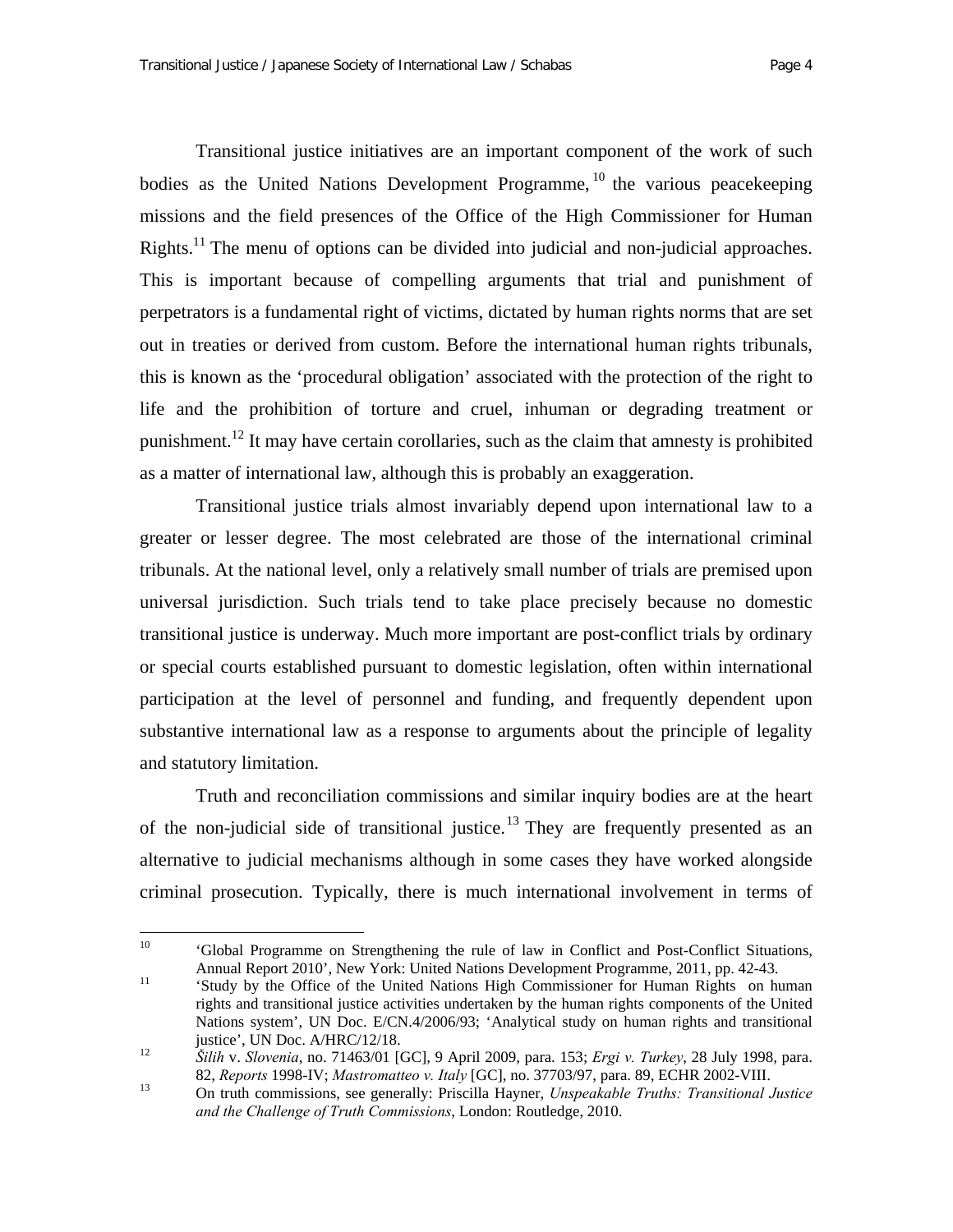Transitional justice initiatives are an important component of the work of such bodies as the United Nations Development Programme, <sup>10</sup> the various peacekeeping missions and the field presences of the Office of the High Commissioner for Human Rights.<sup>11</sup> The menu of options can be divided into judicial and non-judicial approaches. This is important because of compelling arguments that trial and punishment of perpetrators is a fundamental right of victims, dictated by human rights norms that are set out in treaties or derived from custom. Before the international human rights tribunals, this is known as the 'procedural obligation' associated with the protection of the right to life and the prohibition of torture and cruel, inhuman or degrading treatment or punishment.<sup>12</sup> It may have certain corollaries, such as the claim that amnesty is prohibited as a matter of international law, although this is probably an exaggeration.

Transitional justice trials almost invariably depend upon international law to a greater or lesser degree. The most celebrated are those of the international criminal tribunals. At the national level, only a relatively small number of trials are premised upon universal jurisdiction. Such trials tend to take place precisely because no domestic transitional justice is underway. Much more important are post-conflict trials by ordinary or special courts established pursuant to domestic legislation, often within international participation at the level of personnel and funding, and frequently dependent upon substantive international law as a response to arguments about the principle of legality and statutory limitation.

 Truth and reconciliation commissions and similar inquiry bodies are at the heart of the non-judicial side of transitional justice.<sup>13</sup> They are frequently presented as an alternative to judicial mechanisms although in some cases they have worked alongside criminal prosecution. Typically, there is much international involvement in terms of

 $10<sup>10</sup>$ 'Global Programme on Strengthening the rule of law in Conflict and Post-Conflict Situations, Annual Report 2010', New York: United Nations Development Programme, 2011, pp. 42-43.<br>
<sup>11</sup> 'Study by the Office of the United Nations High Commissioner for Human Rights on human

rights and transitional justice activities undertaken by the human rights components of the United Nations system', UN Doc. E/CN.4/2006/93; 'Analytical study on human rights and transitional justice', UN Doc. A/HRC/12/18. 12 *Šilih* v. *Slovenia*, no. 71463/01 [GC], 9 April 2009, para. 153; *Ergi v. Turkey*, 28 July 1998, para.

<sup>82,</sup> *Reports* 1998-IV; *Mastromatteo v. Italy* [GC], no. 37703/97, para. 89, ECHR 2002-VIII.<br>On truth commissions, see generally: Priscilla Hayner, *Unspeakable Truths: Transitional Justice* 

*and the Challenge of Truth Commissions*, London: Routledge, 2010.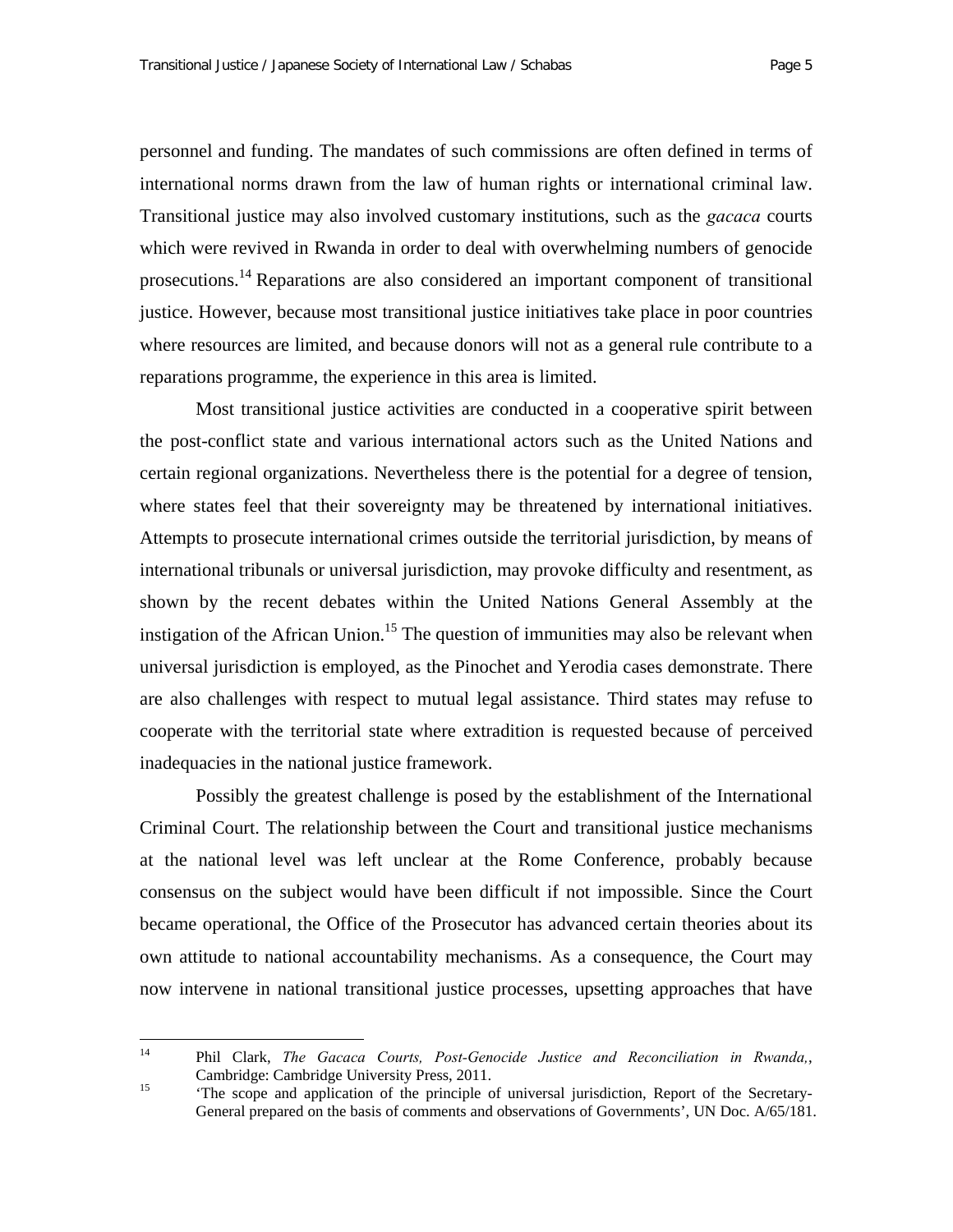personnel and funding. The mandates of such commissions are often defined in terms of international norms drawn from the law of human rights or international criminal law. Transitional justice may also involved customary institutions, such as the *gacaca* courts which were revived in Rwanda in order to deal with overwhelming numbers of genocide prosecutions.14 Reparations are also considered an important component of transitional justice. However, because most transitional justice initiatives take place in poor countries where resources are limited, and because donors will not as a general rule contribute to a reparations programme, the experience in this area is limited.

 Most transitional justice activities are conducted in a cooperative spirit between the post-conflict state and various international actors such as the United Nations and certain regional organizations. Nevertheless there is the potential for a degree of tension, where states feel that their sovereignty may be threatened by international initiatives. Attempts to prosecute international crimes outside the territorial jurisdiction, by means of international tribunals or universal jurisdiction, may provoke difficulty and resentment, as shown by the recent debates within the United Nations General Assembly at the instigation of the African Union.<sup>15</sup> The question of immunities may also be relevant when universal jurisdiction is employed, as the Pinochet and Yerodia cases demonstrate. There are also challenges with respect to mutual legal assistance. Third states may refuse to cooperate with the territorial state where extradition is requested because of perceived inadequacies in the national justice framework.

 Possibly the greatest challenge is posed by the establishment of the International Criminal Court. The relationship between the Court and transitional justice mechanisms at the national level was left unclear at the Rome Conference, probably because consensus on the subject would have been difficult if not impossible. Since the Court became operational, the Office of the Prosecutor has advanced certain theories about its own attitude to national accountability mechanisms. As a consequence, the Court may now intervene in national transitional justice processes, upsetting approaches that have

 $14$ 14 Phil Clark, *The Gacaca Courts, Post-Genocide Justice and Reconciliation in Rwanda,*, Cambridge: Cambridge University Press, 2011.<br>
<sup>15</sup> The scope and application of the principle of universal jurisdiction, Report of the Secretary-

General prepared on the basis of comments and observations of Governments', UN Doc. A/65/181.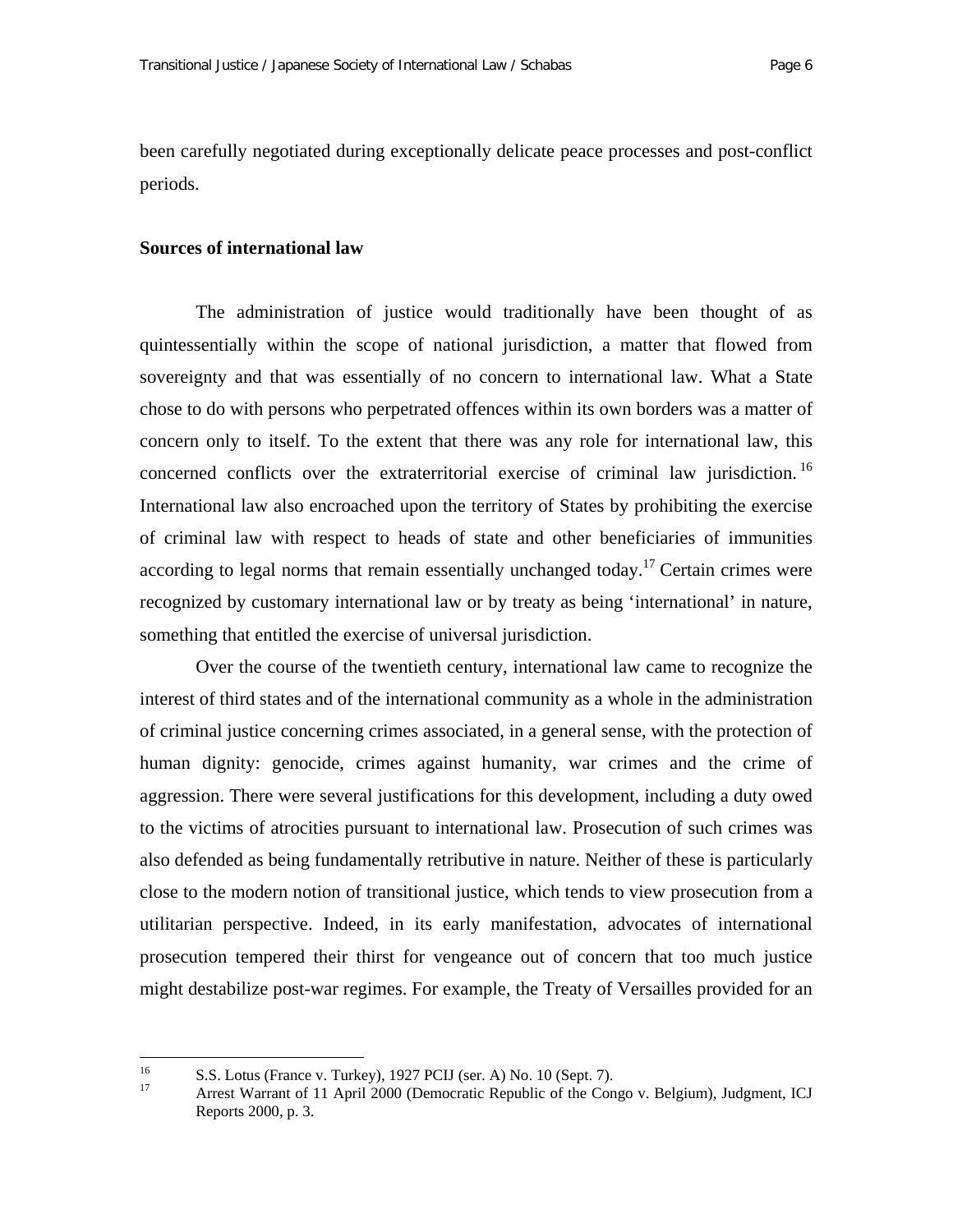been carefully negotiated during exceptionally delicate peace processes and post-conflict periods.

## **Sources of international law**

 The administration of justice would traditionally have been thought of as quintessentially within the scope of national jurisdiction, a matter that flowed from sovereignty and that was essentially of no concern to international law. What a State chose to do with persons who perpetrated offences within its own borders was a matter of concern only to itself. To the extent that there was any role for international law, this concerned conflicts over the extraterritorial exercise of criminal law jurisdiction.<sup>16</sup> International law also encroached upon the territory of States by prohibiting the exercise of criminal law with respect to heads of state and other beneficiaries of immunities according to legal norms that remain essentially unchanged today.<sup>17</sup> Certain crimes were recognized by customary international law or by treaty as being 'international' in nature, something that entitled the exercise of universal jurisdiction.

 Over the course of the twentieth century, international law came to recognize the interest of third states and of the international community as a whole in the administration of criminal justice concerning crimes associated, in a general sense, with the protection of human dignity: genocide, crimes against humanity, war crimes and the crime of aggression. There were several justifications for this development, including a duty owed to the victims of atrocities pursuant to international law. Prosecution of such crimes was also defended as being fundamentally retributive in nature. Neither of these is particularly close to the modern notion of transitional justice, which tends to view prosecution from a utilitarian perspective. Indeed, in its early manifestation, advocates of international prosecution tempered their thirst for vengeance out of concern that too much justice might destabilize post-war regimes. For example, the Treaty of Versailles provided for an

<sup>16</sup> <sup>16</sup> S.S. Lotus (France v. Turkey), 1927 PCIJ (ser. A) No. 10 (Sept. 7).

Arrest Warrant of 11 April 2000 (Democratic Republic of the Congo v. Belgium), Judgment, ICJ Reports 2000, p. 3.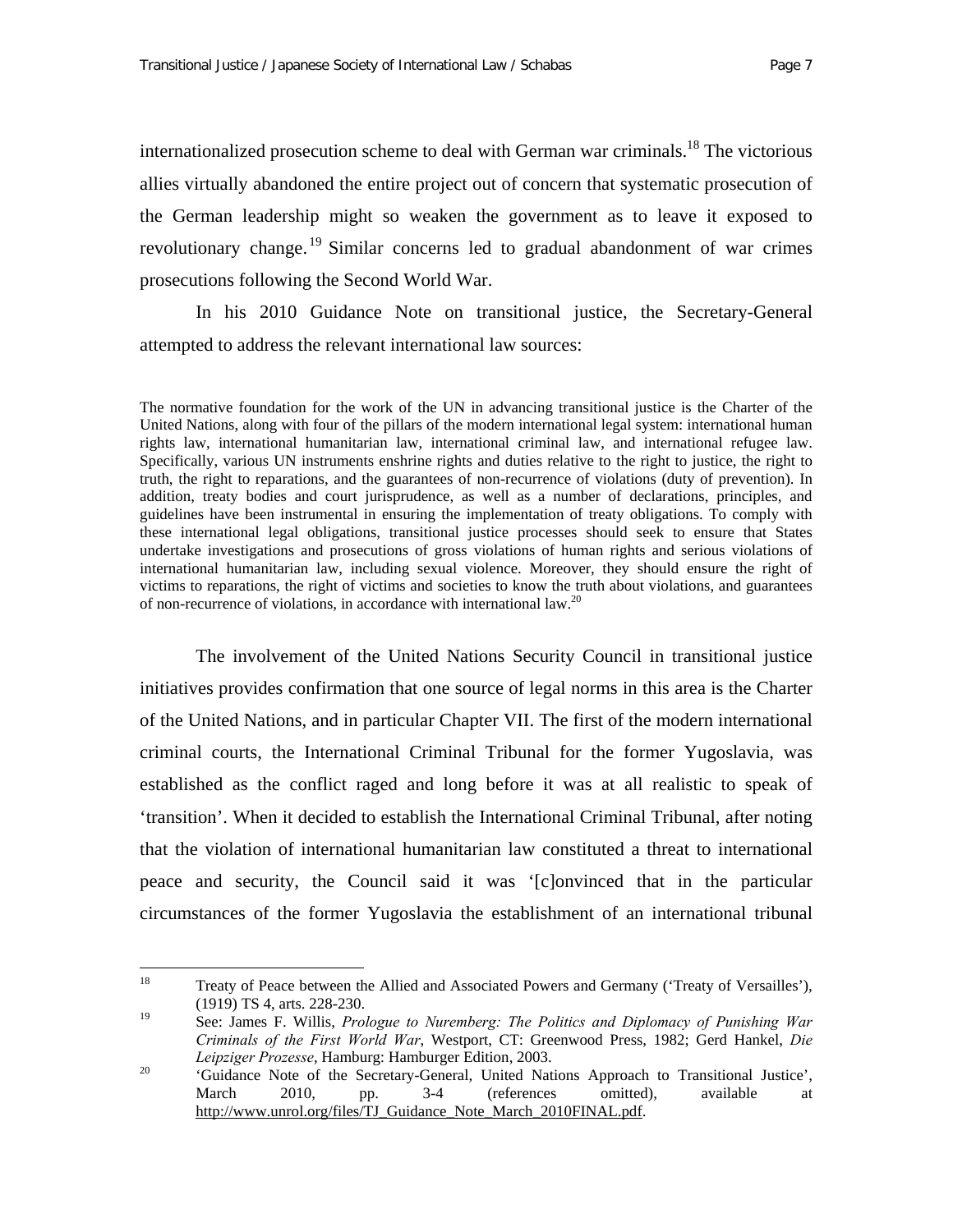internationalized prosecution scheme to deal with German war criminals.<sup>18</sup> The victorious allies virtually abandoned the entire project out of concern that systematic prosecution of the German leadership might so weaken the government as to leave it exposed to revolutionary change.<sup>19</sup> Similar concerns led to gradual abandonment of war crimes prosecutions following the Second World War.

 In his 2010 Guidance Note on transitional justice, the Secretary-General attempted to address the relevant international law sources:

The normative foundation for the work of the UN in advancing transitional justice is the Charter of the United Nations, along with four of the pillars of the modern international legal system: international human rights law, international humanitarian law, international criminal law, and international refugee law. Specifically, various UN instruments enshrine rights and duties relative to the right to justice, the right to truth, the right to reparations, and the guarantees of non-recurrence of violations (duty of prevention). In addition, treaty bodies and court jurisprudence, as well as a number of declarations, principles, and guidelines have been instrumental in ensuring the implementation of treaty obligations. To comply with these international legal obligations, transitional justice processes should seek to ensure that States undertake investigations and prosecutions of gross violations of human rights and serious violations of international humanitarian law, including sexual violence. Moreover, they should ensure the right of victims to reparations, the right of victims and societies to know the truth about violations, and guarantees of non-recurrence of violations, in accordance with international law.<sup>20</sup>

 The involvement of the United Nations Security Council in transitional justice initiatives provides confirmation that one source of legal norms in this area is the Charter of the United Nations, and in particular Chapter VII. The first of the modern international criminal courts, the International Criminal Tribunal for the former Yugoslavia, was established as the conflict raged and long before it was at all realistic to speak of 'transition'. When it decided to establish the International Criminal Tribunal, after noting that the violation of international humanitarian law constituted a threat to international peace and security, the Council said it was '[c]onvinced that in the particular circumstances of the former Yugoslavia the establishment of an international tribunal

 $18\,$ 18 Treaty of Peace between the Allied and Associated Powers and Germany ('Treaty of Versailles'), (1919) TS 4, arts. 228-230.

<sup>19</sup> See: James F. Willis, *Prologue to Nuremberg: The Politics and Diplomacy of Punishing War Criminals of the First World War*, Westport, CT: Greenwood Press, 1982; Gerd Hankel, *Die Leipziger Prozesse*, Hamburg: Hamburger Edition, 2003.<br>
<sup>20</sup> 'Guidance Note of the Secretary-General, United Nations Approach to Transitional Justice',

March 2010, pp. 3-4 (references omitted), available at http://www.unrol.org/files/TJ\_Guidance\_Note\_March\_2010FINAL.pdf.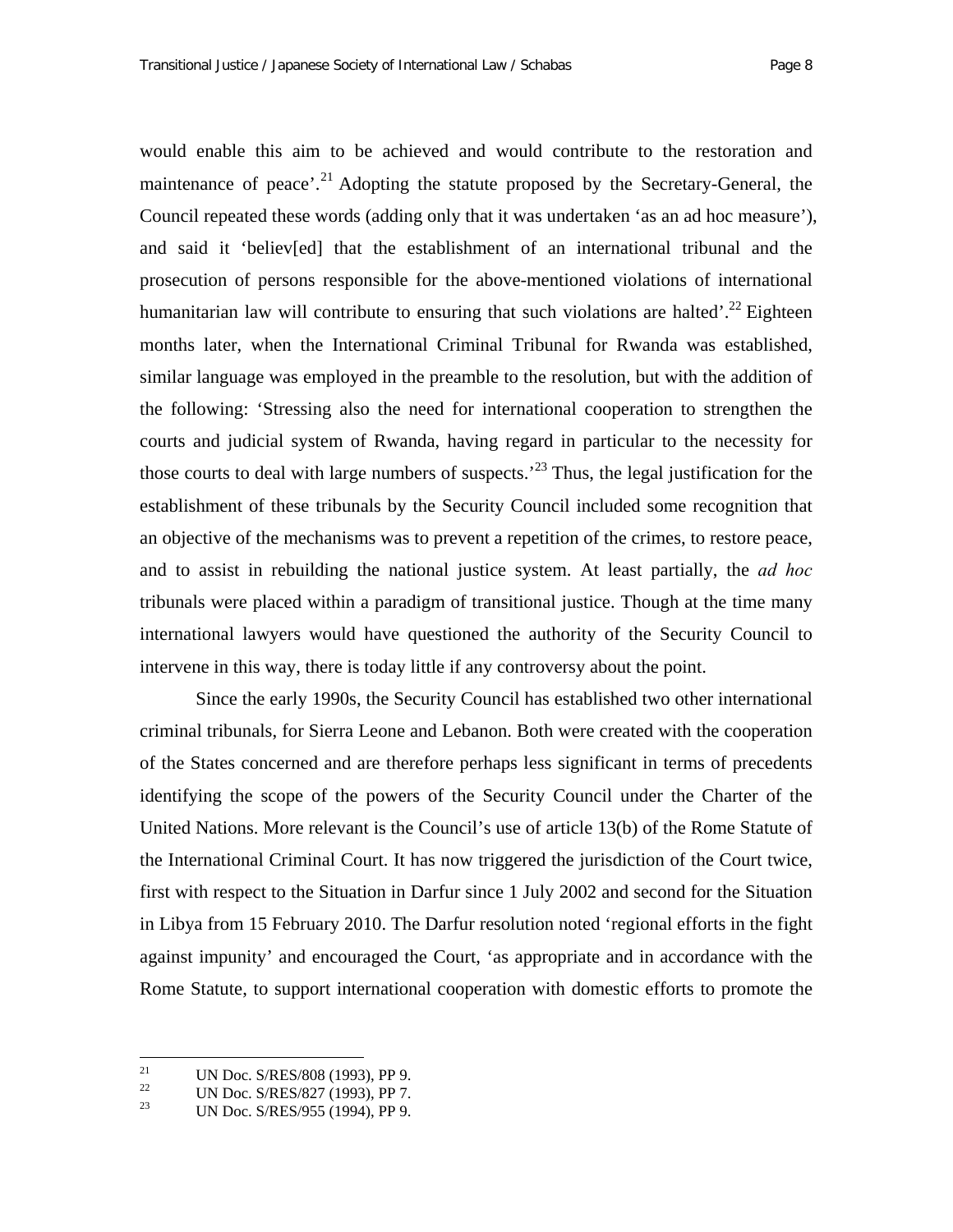would enable this aim to be achieved and would contribute to the restoration and maintenance of peace'.<sup>21</sup> Adopting the statute proposed by the Secretary-General, the Council repeated these words (adding only that it was undertaken 'as an ad hoc measure'), and said it 'believ[ed] that the establishment of an international tribunal and the prosecution of persons responsible for the above-mentioned violations of international humanitarian law will contribute to ensuring that such violations are halted'.<sup>22</sup> Eighteen months later, when the International Criminal Tribunal for Rwanda was established, similar language was employed in the preamble to the resolution, but with the addition of the following: 'Stressing also the need for international cooperation to strengthen the courts and judicial system of Rwanda, having regard in particular to the necessity for those courts to deal with large numbers of suspects.<sup>23</sup> Thus, the legal justification for the establishment of these tribunals by the Security Council included some recognition that an objective of the mechanisms was to prevent a repetition of the crimes, to restore peace, and to assist in rebuilding the national justice system. At least partially, the *ad hoc*  tribunals were placed within a paradigm of transitional justice. Though at the time many international lawyers would have questioned the authority of the Security Council to intervene in this way, there is today little if any controversy about the point.

Since the early 1990s, the Security Council has established two other international criminal tribunals, for Sierra Leone and Lebanon. Both were created with the cooperation of the States concerned and are therefore perhaps less significant in terms of precedents identifying the scope of the powers of the Security Council under the Charter of the United Nations. More relevant is the Council's use of article 13(b) of the Rome Statute of the International Criminal Court. It has now triggered the jurisdiction of the Court twice, first with respect to the Situation in Darfur since 1 July 2002 and second for the Situation in Libya from 15 February 2010. The Darfur resolution noted 'regional efforts in the fight against impunity' and encouraged the Court, 'as appropriate and in accordance with the Rome Statute, to support international cooperation with domestic efforts to promote the

 $21$ <sup>21</sup> UN Doc. S/RES/808 (1993), PP 9.<br><sup>22</sup> UN Dec. S/RES/827 (1993), PP 7.

<sup>&</sup>lt;sup>22</sup> UN Doc. S/RES/827 (1993), PP 7.<br><sup>23</sup> UN D<sub>22</sub> S/RES/955 (1994), PP 9.

UN Doc. S/RES/955 (1994), PP 9.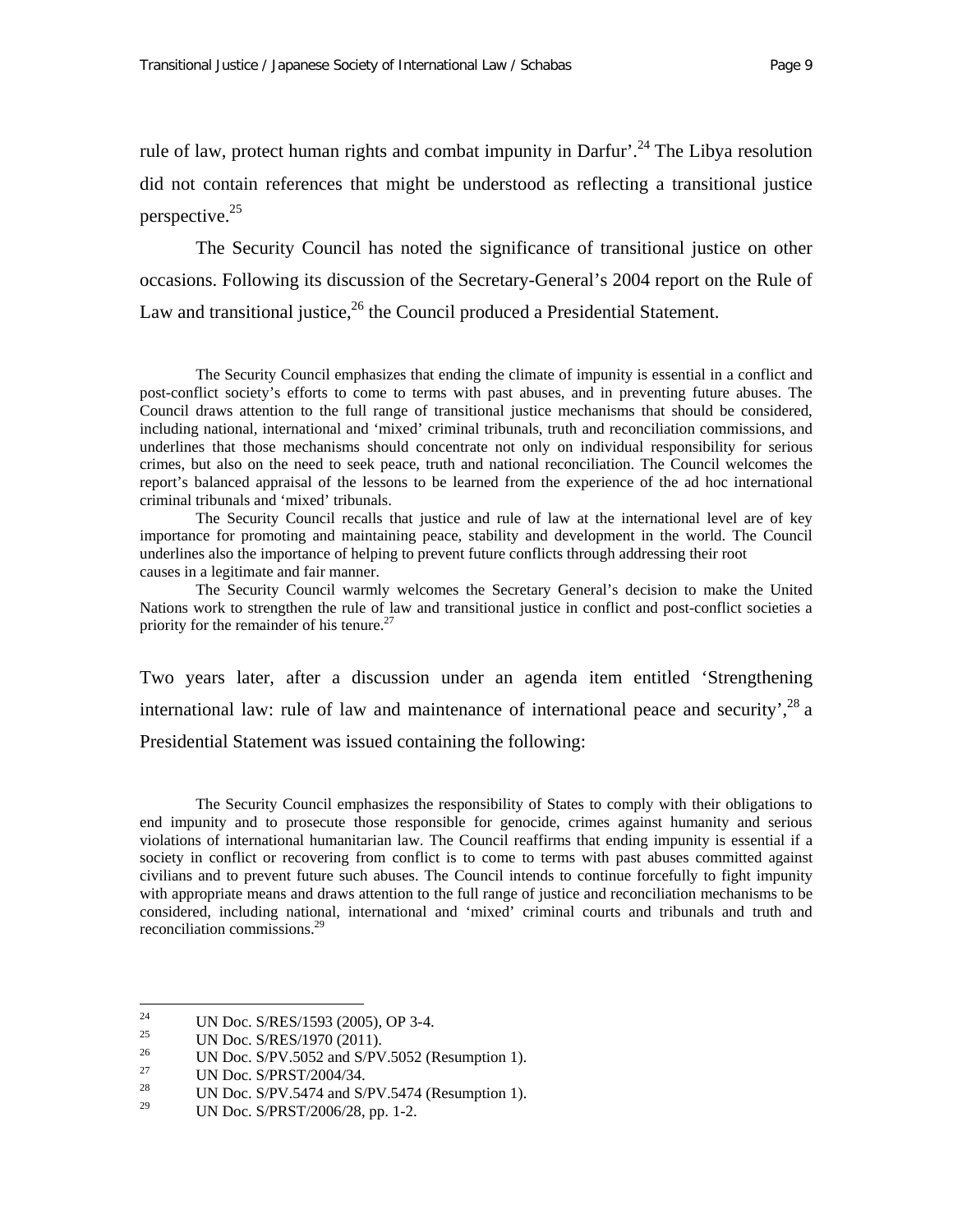rule of law, protect human rights and combat impunity in Darfur'.<sup>24</sup> The Libya resolution did not contain references that might be understood as reflecting a transitional justice perspective. $25$ 

The Security Council has noted the significance of transitional justice on other occasions. Following its discussion of the Secretary-General's 2004 report on the Rule of Law and transitional justice,  $26$  the Council produced a Presidential Statement.

The Security Council emphasizes that ending the climate of impunity is essential in a conflict and post-conflict society's efforts to come to terms with past abuses, and in preventing future abuses. The Council draws attention to the full range of transitional justice mechanisms that should be considered, including national, international and 'mixed' criminal tribunals, truth and reconciliation commissions, and underlines that those mechanisms should concentrate not only on individual responsibility for serious crimes, but also on the need to seek peace, truth and national reconciliation. The Council welcomes the report's balanced appraisal of the lessons to be learned from the experience of the ad hoc international criminal tribunals and 'mixed' tribunals.

The Security Council recalls that justice and rule of law at the international level are of key importance for promoting and maintaining peace, stability and development in the world. The Council underlines also the importance of helping to prevent future conflicts through addressing their root causes in a legitimate and fair manner.

The Security Council warmly welcomes the Secretary General's decision to make the United Nations work to strengthen the rule of law and transitional justice in conflict and post-conflict societies a priority for the remainder of his tenure.<sup>27</sup>

Two years later, after a discussion under an agenda item entitled 'Strengthening international law: rule of law and maintenance of international peace and security',  $^{28}$  a Presidential Statement was issued containing the following:

The Security Council emphasizes the responsibility of States to comply with their obligations to end impunity and to prosecute those responsible for genocide, crimes against humanity and serious violations of international humanitarian law. The Council reaffirms that ending impunity is essential if a society in conflict or recovering from conflict is to come to terms with past abuses committed against civilians and to prevent future such abuses. The Council intends to continue forcefully to fight impunity with appropriate means and draws attention to the full range of justice and reconciliation mechanisms to be considered, including national, international and 'mixed' criminal courts and tribunals and truth and reconciliation commissions.<sup>29</sup>

 $24$ <sup>24</sup> UN Doc. S/RES/1593 (2005), OP 3-4.<br><sup>25</sup> UN Doc. S/RES/1970 (2011)

<sup>&</sup>lt;sup>25</sup> UN Doc. S/RES/1970 (2011).

<sup>&</sup>lt;sup>26</sup> UN Doc. S/PV.5052 and S/PV.5052 (Resumption 1).<br><sup>27</sup> UN Doc. S/PRST/2004/34

<sup>&</sup>lt;sup>27</sup> UN Doc. S/PRST/2004/34.<br><sup>28</sup> UN Doc. S/PV 5474 and S/

<sup>&</sup>lt;sup>28</sup> UN Doc. S/PV.5474 and S/PV.5474 (Resumption 1).<br><sup>29</sup> UN Doc. S/PRST/2006/28, pp. 1.2

UN Doc. S/PRST/2006/28, pp. 1-2.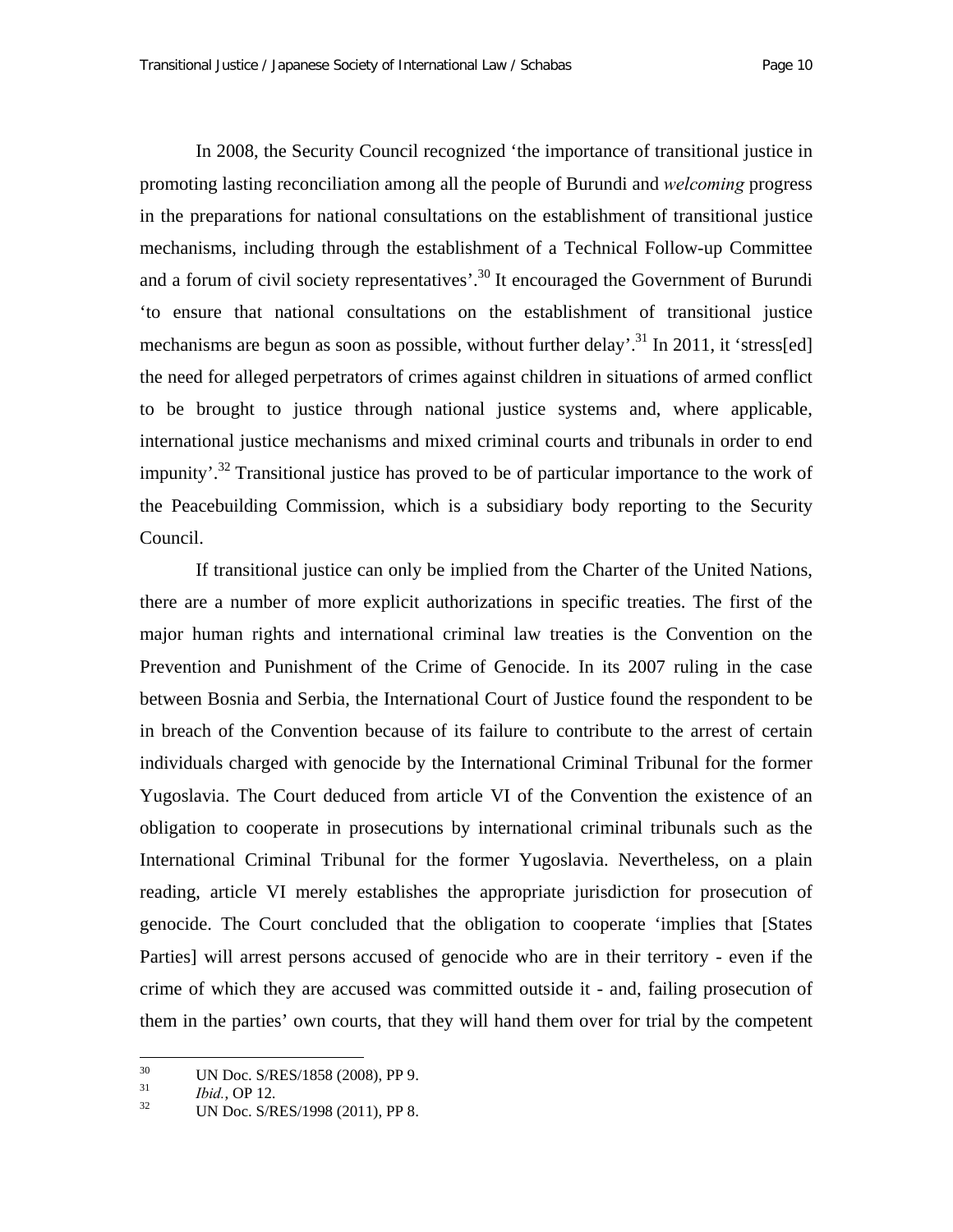In 2008, the Security Council recognized 'the importance of transitional justice in promoting lasting reconciliation among all the people of Burundi and *welcoming* progress in the preparations for national consultations on the establishment of transitional justice mechanisms, including through the establishment of a Technical Follow-up Committee and a forum of civil society representatives'.<sup>30</sup> It encouraged the Government of Burundi 'to ensure that national consultations on the establishment of transitional justice mechanisms are begun as soon as possible, without further delay'.<sup>31</sup> In 2011, it 'stress[ed] the need for alleged perpetrators of crimes against children in situations of armed conflict to be brought to justice through national justice systems and, where applicable, international justice mechanisms and mixed criminal courts and tribunals in order to end impunity'.<sup>32</sup> Transitional justice has proved to be of particular importance to the work of the Peacebuilding Commission, which is a subsidiary body reporting to the Security Council.

 If transitional justice can only be implied from the Charter of the United Nations, there are a number of more explicit authorizations in specific treaties. The first of the major human rights and international criminal law treaties is the Convention on the Prevention and Punishment of the Crime of Genocide. In its 2007 ruling in the case between Bosnia and Serbia, the International Court of Justice found the respondent to be in breach of the Convention because of its failure to contribute to the arrest of certain individuals charged with genocide by the International Criminal Tribunal for the former Yugoslavia. The Court deduced from article VI of the Convention the existence of an obligation to cooperate in prosecutions by international criminal tribunals such as the International Criminal Tribunal for the former Yugoslavia. Nevertheless, on a plain reading, article VI merely establishes the appropriate jurisdiction for prosecution of genocide. The Court concluded that the obligation to cooperate 'implies that [States Parties] will arrest persons accused of genocide who are in their territory - even if the crime of which they are accused was committed outside it - and, failing prosecution of them in the parties' own courts, that they will hand them over for trial by the competent

 $30<sup>2</sup>$  $^{30}$  UN Doc. S/RES/1858 (2008), PP 9.<br> $^{31}$   $10^{11}$  OP 12

<sup>&</sup>lt;sup>31</sup> *Ibid.*, OP 12.<br><sup>32</sup> UN Doc. S/RES/1998 (2011), PP 8.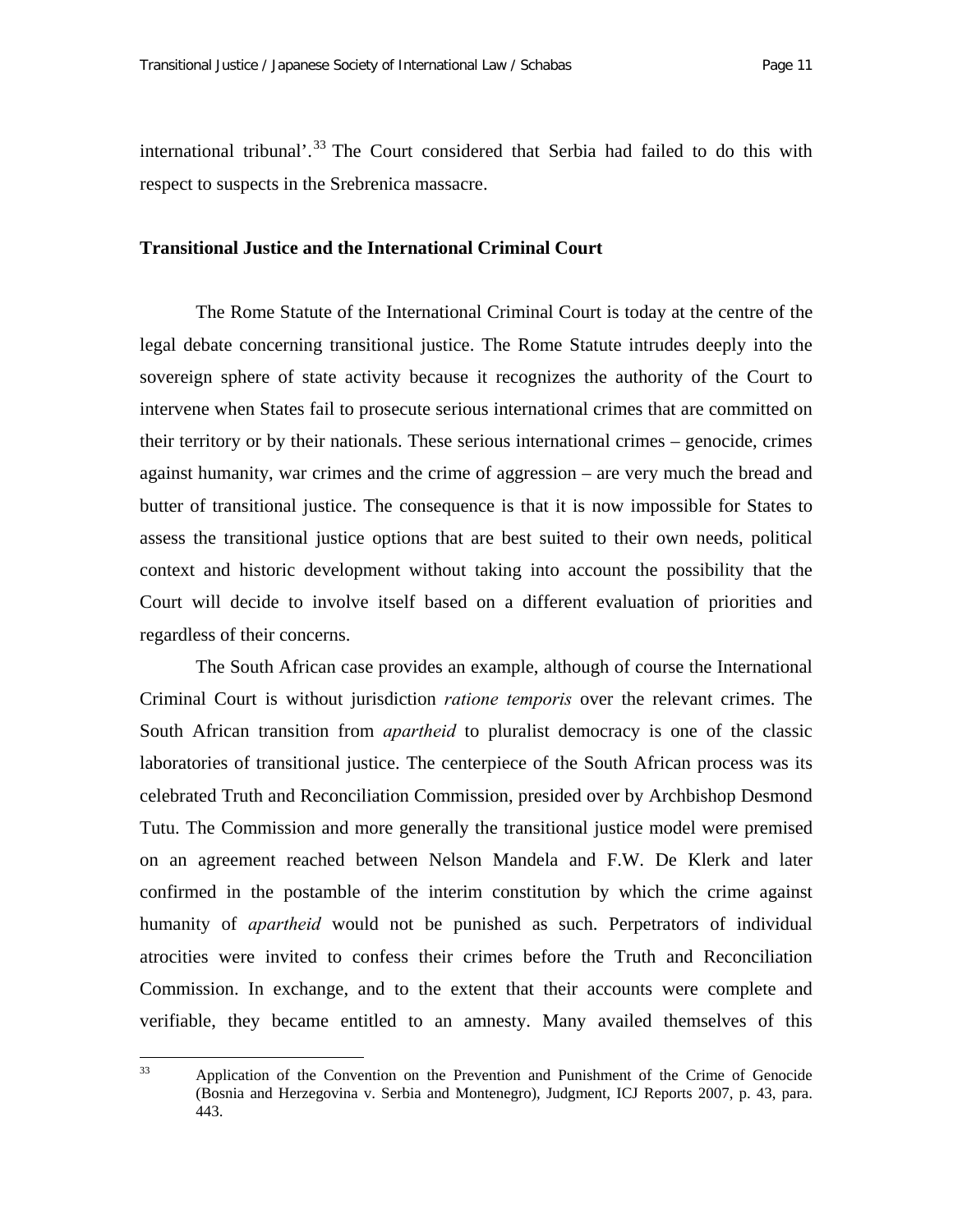international tribunal'.<sup>33</sup> The Court considered that Serbia had failed to do this with respect to suspects in the Srebrenica massacre.

## **Transitional Justice and the International Criminal Court**

 The Rome Statute of the International Criminal Court is today at the centre of the legal debate concerning transitional justice. The Rome Statute intrudes deeply into the sovereign sphere of state activity because it recognizes the authority of the Court to intervene when States fail to prosecute serious international crimes that are committed on their territory or by their nationals. These serious international crimes – genocide, crimes against humanity, war crimes and the crime of aggression – are very much the bread and butter of transitional justice. The consequence is that it is now impossible for States to assess the transitional justice options that are best suited to their own needs, political context and historic development without taking into account the possibility that the Court will decide to involve itself based on a different evaluation of priorities and regardless of their concerns.

 The South African case provides an example, although of course the International Criminal Court is without jurisdiction *ratione temporis* over the relevant crimes. The South African transition from *apartheid* to pluralist democracy is one of the classic laboratories of transitional justice. The centerpiece of the South African process was its celebrated Truth and Reconciliation Commission, presided over by Archbishop Desmond Tutu. The Commission and more generally the transitional justice model were premised on an agreement reached between Nelson Mandela and F.W. De Klerk and later confirmed in the postamble of the interim constitution by which the crime against humanity of *apartheid* would not be punished as such. Perpetrators of individual atrocities were invited to confess their crimes before the Truth and Reconciliation Commission. In exchange, and to the extent that their accounts were complete and verifiable, they became entitled to an amnesty. Many availed themselves of this

<sup>33</sup> Application of the Convention on the Prevention and Punishment of the Crime of Genocide (Bosnia and Herzegovina v. Serbia and Montenegro), Judgment, ICJ Reports 2007, p. 43, para. 443.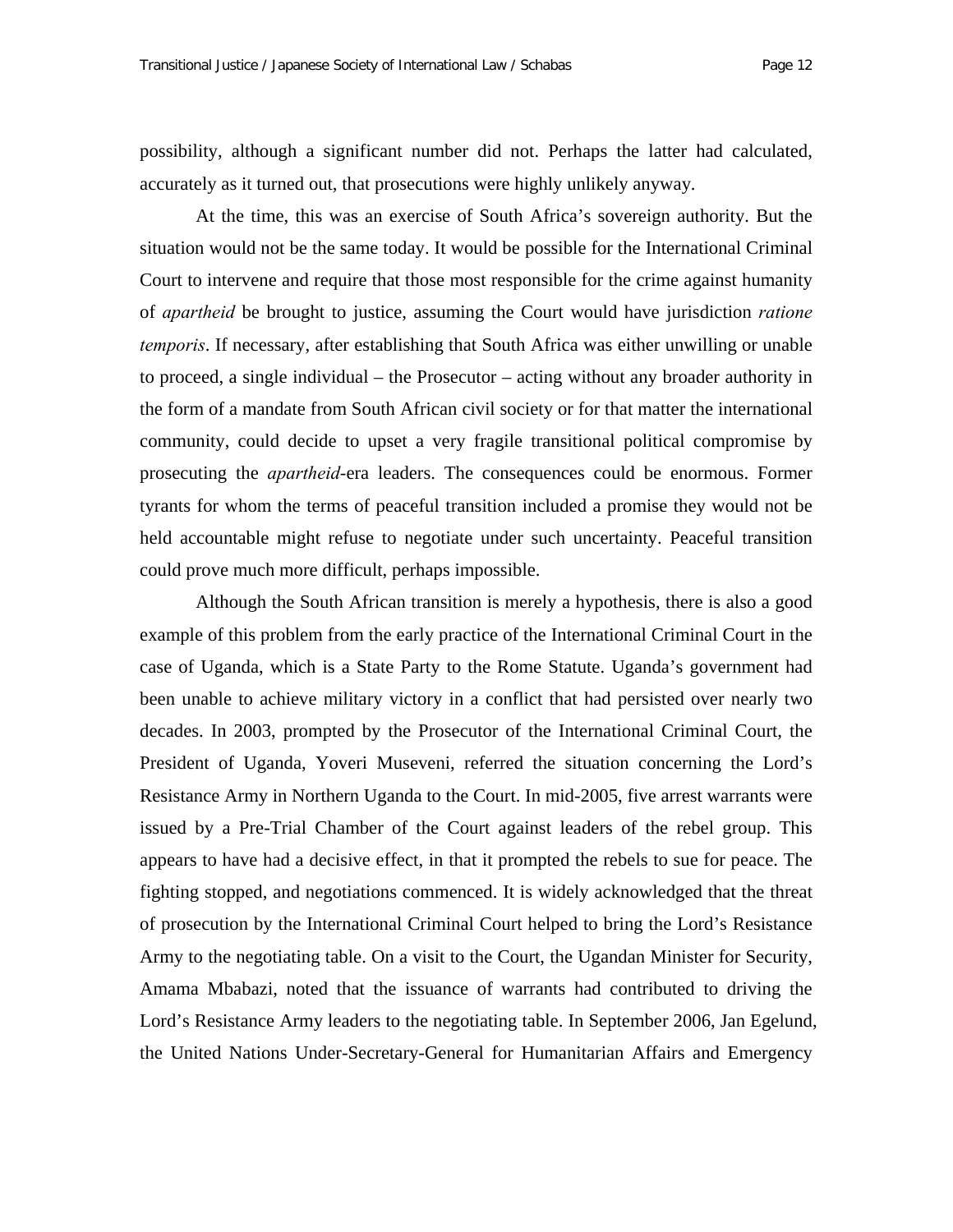possibility, although a significant number did not. Perhaps the latter had calculated, accurately as it turned out, that prosecutions were highly unlikely anyway.

 At the time, this was an exercise of South Africa's sovereign authority. But the situation would not be the same today. It would be possible for the International Criminal Court to intervene and require that those most responsible for the crime against humanity of *apartheid* be brought to justice, assuming the Court would have jurisdiction *ratione temporis*. If necessary, after establishing that South Africa was either unwilling or unable to proceed, a single individual – the Prosecutor – acting without any broader authority in the form of a mandate from South African civil society or for that matter the international community, could decide to upset a very fragile transitional political compromise by prosecuting the *apartheid*-era leaders. The consequences could be enormous. Former tyrants for whom the terms of peaceful transition included a promise they would not be held accountable might refuse to negotiate under such uncertainty. Peaceful transition could prove much more difficult, perhaps impossible.

 Although the South African transition is merely a hypothesis, there is also a good example of this problem from the early practice of the International Criminal Court in the case of Uganda, which is a State Party to the Rome Statute. Uganda's government had been unable to achieve military victory in a conflict that had persisted over nearly two decades. In 2003, prompted by the Prosecutor of the International Criminal Court, the President of Uganda, Yoveri Museveni, referred the situation concerning the Lord's Resistance Army in Northern Uganda to the Court. In mid-2005, five arrest warrants were issued by a Pre-Trial Chamber of the Court against leaders of the rebel group. This appears to have had a decisive effect, in that it prompted the rebels to sue for peace. The fighting stopped, and negotiations commenced. It is widely acknowledged that the threat of prosecution by the International Criminal Court helped to bring the Lord's Resistance Army to the negotiating table. On a visit to the Court, the Ugandan Minister for Security, Amama Mbabazi, noted that the issuance of warrants had contributed to driving the Lord's Resistance Army leaders to the negotiating table. In September 2006, Jan Egelund, the United Nations Under-Secretary-General for Humanitarian Affairs and Emergency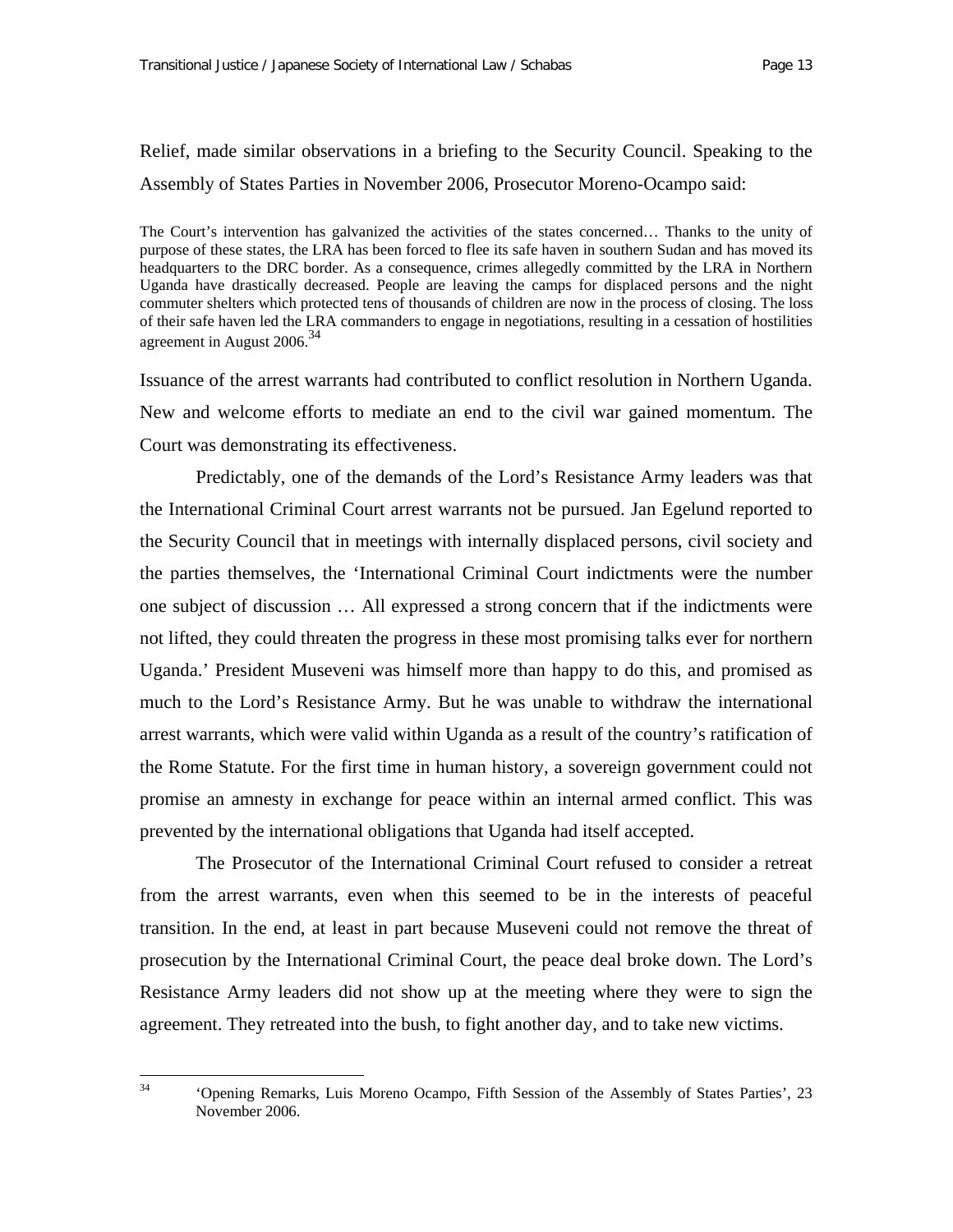Relief, made similar observations in a briefing to the Security Council. Speaking to the Assembly of States Parties in November 2006, Prosecutor Moreno-Ocampo said:

The Court's intervention has galvanized the activities of the states concerned… Thanks to the unity of purpose of these states, the LRA has been forced to flee its safe haven in southern Sudan and has moved its headquarters to the DRC border. As a consequence, crimes allegedly committed by the LRA in Northern Uganda have drastically decreased. People are leaving the camps for displaced persons and the night commuter shelters which protected tens of thousands of children are now in the process of closing. The loss of their safe haven led the LRA commanders to engage in negotiations, resulting in a cessation of hostilities agreement in August  $2006^{34}$ 

Issuance of the arrest warrants had contributed to conflict resolution in Northern Uganda. New and welcome efforts to mediate an end to the civil war gained momentum. The Court was demonstrating its effectiveness.

Predictably, one of the demands of the Lord's Resistance Army leaders was that the International Criminal Court arrest warrants not be pursued. Jan Egelund reported to the Security Council that in meetings with internally displaced persons, civil society and the parties themselves, the 'International Criminal Court indictments were the number one subject of discussion … All expressed a strong concern that if the indictments were not lifted, they could threaten the progress in these most promising talks ever for northern Uganda.' President Museveni was himself more than happy to do this, and promised as much to the Lord's Resistance Army. But he was unable to withdraw the international arrest warrants, which were valid within Uganda as a result of the country's ratification of the Rome Statute. For the first time in human history, a sovereign government could not promise an amnesty in exchange for peace within an internal armed conflict. This was prevented by the international obligations that Uganda had itself accepted.

The Prosecutor of the International Criminal Court refused to consider a retreat from the arrest warrants, even when this seemed to be in the interests of peaceful transition. In the end, at least in part because Museveni could not remove the threat of prosecution by the International Criminal Court, the peace deal broke down. The Lord's Resistance Army leaders did not show up at the meeting where they were to sign the agreement. They retreated into the bush, to fight another day, and to take new victims.

<sup>&#</sup>x27;Opening Remarks, Luis Moreno Ocampo, Fifth Session of the Assembly of States Parties', 23 November 2006.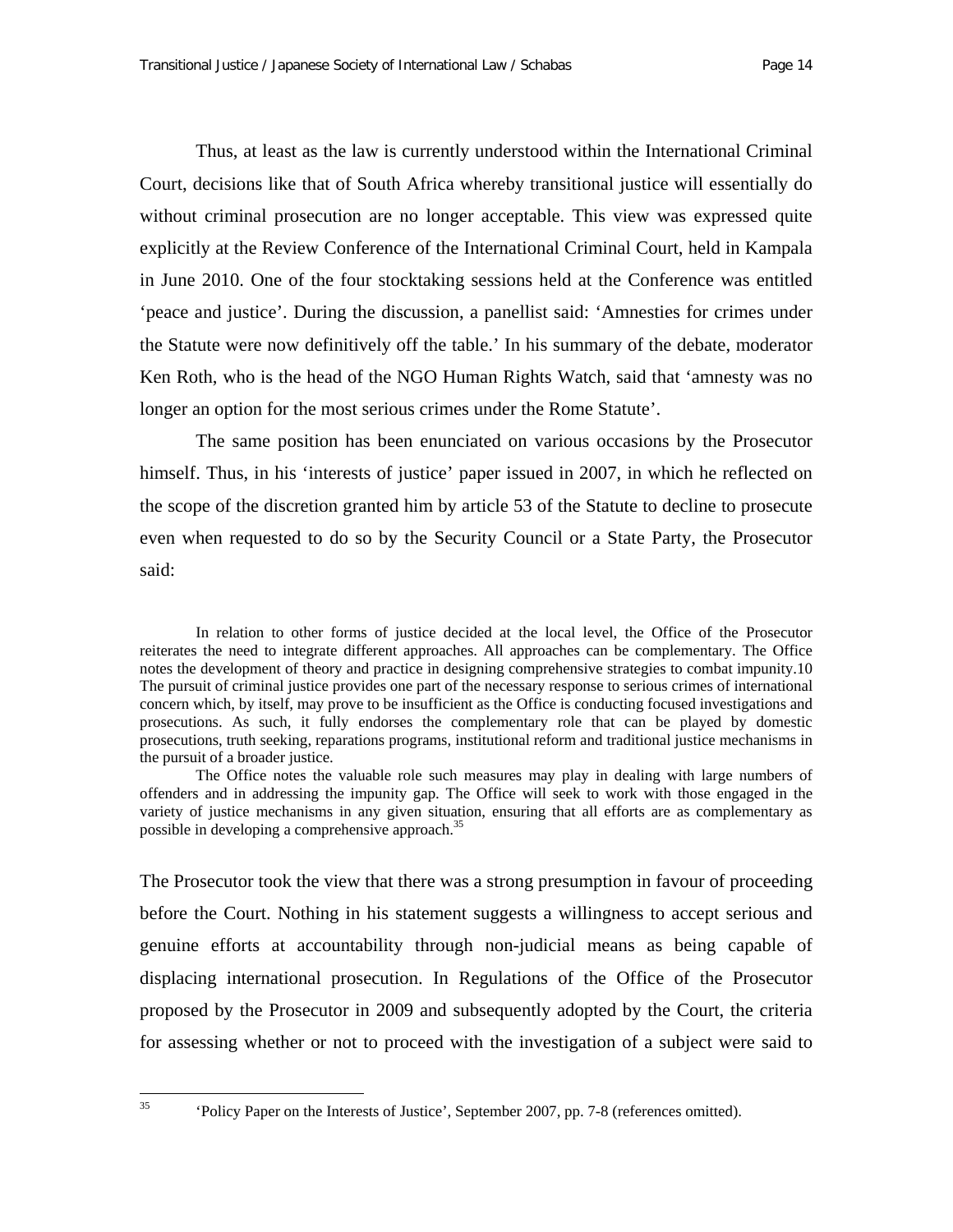Thus, at least as the law is currently understood within the International Criminal Court, decisions like that of South Africa whereby transitional justice will essentially do without criminal prosecution are no longer acceptable. This view was expressed quite explicitly at the Review Conference of the International Criminal Court, held in Kampala in June 2010. One of the four stocktaking sessions held at the Conference was entitled 'peace and justice'. During the discussion, a panellist said: 'Amnesties for crimes under the Statute were now definitively off the table.' In his summary of the debate, moderator Ken Roth, who is the head of the NGO Human Rights Watch, said that 'amnesty was no longer an option for the most serious crimes under the Rome Statute'.

The same position has been enunciated on various occasions by the Prosecutor himself. Thus, in his 'interests of justice' paper issued in 2007, in which he reflected on the scope of the discretion granted him by article 53 of the Statute to decline to prosecute even when requested to do so by the Security Council or a State Party, the Prosecutor said:

In relation to other forms of justice decided at the local level, the Office of the Prosecutor reiterates the need to integrate different approaches. All approaches can be complementary. The Office notes the development of theory and practice in designing comprehensive strategies to combat impunity.10 The pursuit of criminal justice provides one part of the necessary response to serious crimes of international concern which, by itself, may prove to be insufficient as the Office is conducting focused investigations and prosecutions. As such, it fully endorses the complementary role that can be played by domestic prosecutions, truth seeking, reparations programs, institutional reform and traditional justice mechanisms in the pursuit of a broader justice.

The Office notes the valuable role such measures may play in dealing with large numbers of offenders and in addressing the impunity gap. The Office will seek to work with those engaged in the variety of justice mechanisms in any given situation, ensuring that all efforts are as complementary as possible in developing a comprehensive approach.<sup>35</sup>

The Prosecutor took the view that there was a strong presumption in favour of proceeding before the Court. Nothing in his statement suggests a willingness to accept serious and genuine efforts at accountability through non-judicial means as being capable of displacing international prosecution. In Regulations of the Office of the Prosecutor proposed by the Prosecutor in 2009 and subsequently adopted by the Court, the criteria for assessing whether or not to proceed with the investigation of a subject were said to

<sup>35 &#</sup>x27;Policy Paper on the Interests of Justice', September 2007, pp. 7-8 (references omitted).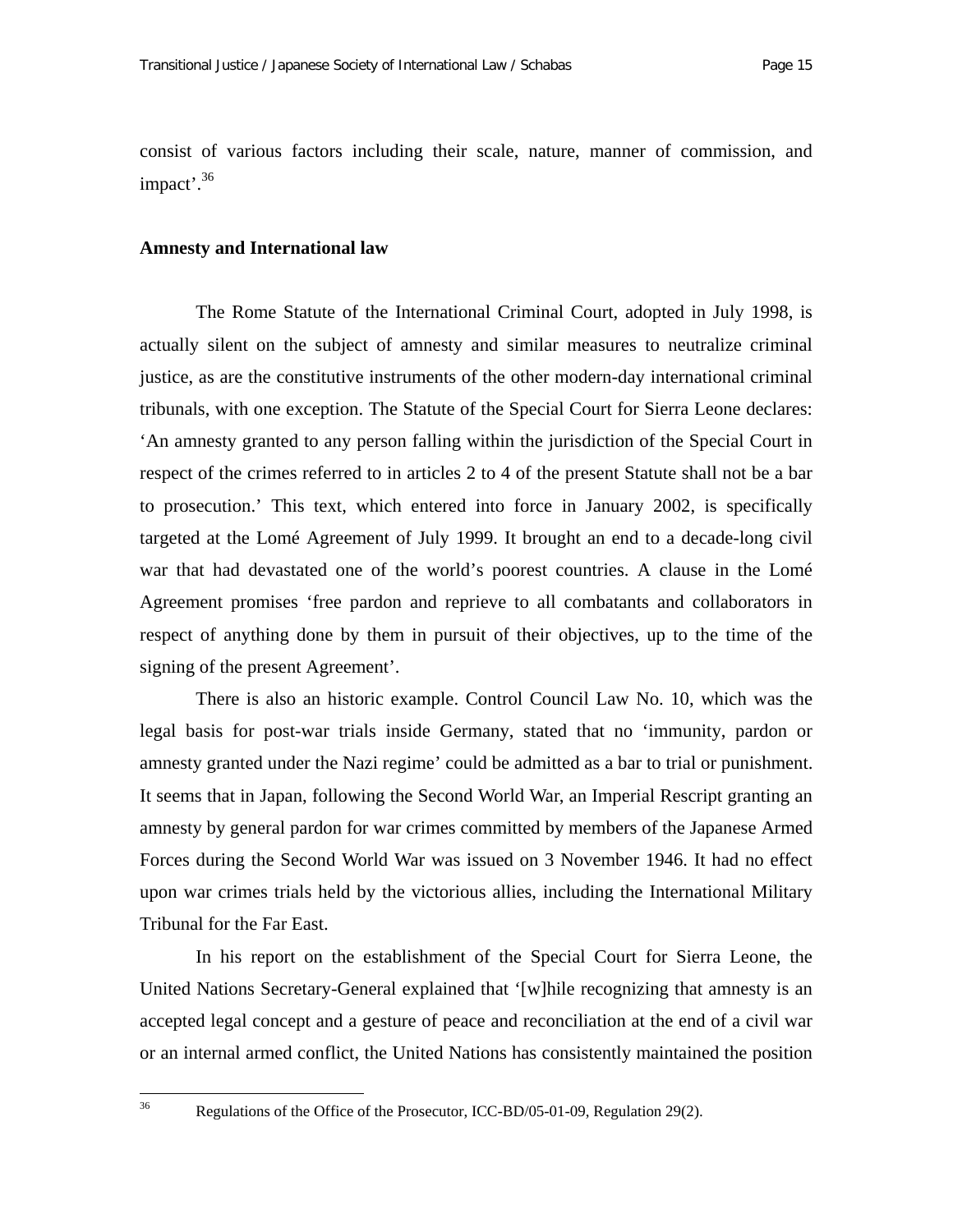consist of various factors including their scale, nature, manner of commission, and impact'.<sup>36</sup>

#### **Amnesty and International law**

The Rome Statute of the International Criminal Court, adopted in July 1998, is actually silent on the subject of amnesty and similar measures to neutralize criminal justice, as are the constitutive instruments of the other modern-day international criminal tribunals, with one exception. The Statute of the Special Court for Sierra Leone declares: 'An amnesty granted to any person falling within the jurisdiction of the Special Court in respect of the crimes referred to in articles 2 to 4 of the present Statute shall not be a bar to prosecution.' This text, which entered into force in January 2002, is specifically targeted at the Lomé Agreement of July 1999. It brought an end to a decade-long civil war that had devastated one of the world's poorest countries. A clause in the Lomé Agreement promises 'free pardon and reprieve to all combatants and collaborators in respect of anything done by them in pursuit of their objectives, up to the time of the signing of the present Agreement'.

There is also an historic example. Control Council Law No. 10, which was the legal basis for post-war trials inside Germany, stated that no 'immunity, pardon or amnesty granted under the Nazi regime' could be admitted as a bar to trial or punishment. It seems that in Japan, following the Second World War, an Imperial Rescript granting an amnesty by general pardon for war crimes committed by members of the Japanese Armed Forces during the Second World War was issued on 3 November 1946. It had no effect upon war crimes trials held by the victorious allies, including the International Military Tribunal for the Far East.

In his report on the establishment of the Special Court for Sierra Leone, the United Nations Secretary-General explained that '[w]hile recognizing that amnesty is an accepted legal concept and a gesture of peace and reconciliation at the end of a civil war or an internal armed conflict, the United Nations has consistently maintained the position

Regulations of the Office of the Prosecutor, ICC-BD/05-01-09, Regulation 29(2).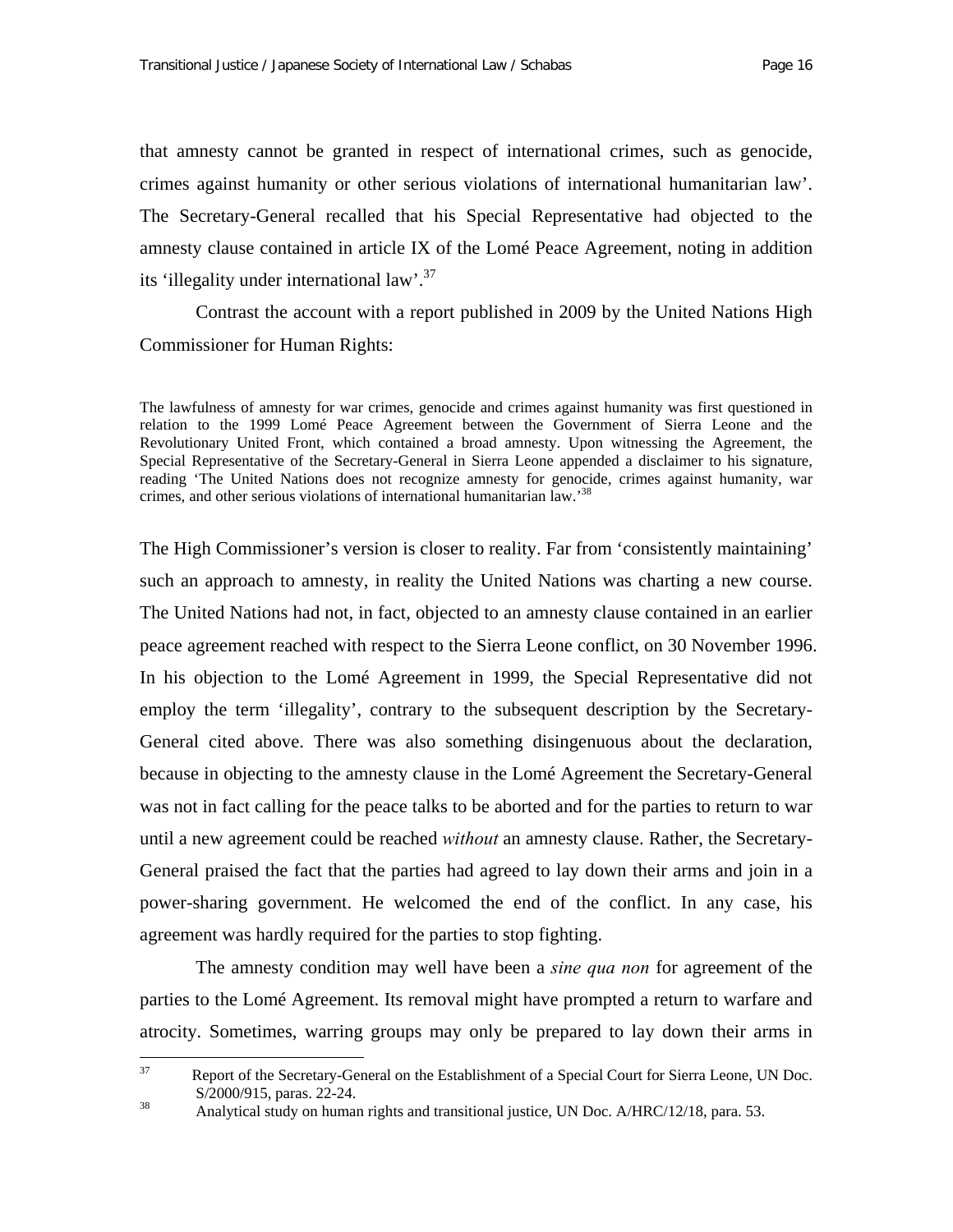that amnesty cannot be granted in respect of international crimes, such as genocide, crimes against humanity or other serious violations of international humanitarian law'. The Secretary-General recalled that his Special Representative had objected to the amnesty clause contained in article IX of the Lomé Peace Agreement, noting in addition its 'illegality under international law'.<sup>37</sup>

Contrast the account with a report published in 2009 by the United Nations High Commissioner for Human Rights:

The lawfulness of amnesty for war crimes, genocide and crimes against humanity was first questioned in relation to the 1999 Lomé Peace Agreement between the Government of Sierra Leone and the Revolutionary United Front, which contained a broad amnesty. Upon witnessing the Agreement, the Special Representative of the Secretary-General in Sierra Leone appended a disclaimer to his signature, reading 'The United Nations does not recognize amnesty for genocide, crimes against humanity, war crimes, and other serious violations of international humanitarian law.'38

The High Commissioner's version is closer to reality. Far from 'consistently maintaining' such an approach to amnesty, in reality the United Nations was charting a new course. The United Nations had not, in fact, objected to an amnesty clause contained in an earlier peace agreement reached with respect to the Sierra Leone conflict, on 30 November 1996. In his objection to the Lomé Agreement in 1999, the Special Representative did not employ the term 'illegality', contrary to the subsequent description by the Secretary-General cited above. There was also something disingenuous about the declaration, because in objecting to the amnesty clause in the Lomé Agreement the Secretary-General was not in fact calling for the peace talks to be aborted and for the parties to return to war until a new agreement could be reached *without* an amnesty clause. Rather, the Secretary-General praised the fact that the parties had agreed to lay down their arms and join in a power-sharing government. He welcomed the end of the conflict. In any case, his agreement was hardly required for the parties to stop fighting.

The amnesty condition may well have been a *sine qua non* for agreement of the parties to the Lomé Agreement. Its removal might have prompted a return to warfare and atrocity. Sometimes, warring groups may only be prepared to lay down their arms in

<sup>37</sup> Report of the Secretary-General on the Establishment of a Special Court for Sierra Leone, UN Doc. S/2000/915, paras. 22-24.<br>
38 Analytical study on human rights and transitional justice, UN Doc. A/HRC/12/18, para. 53.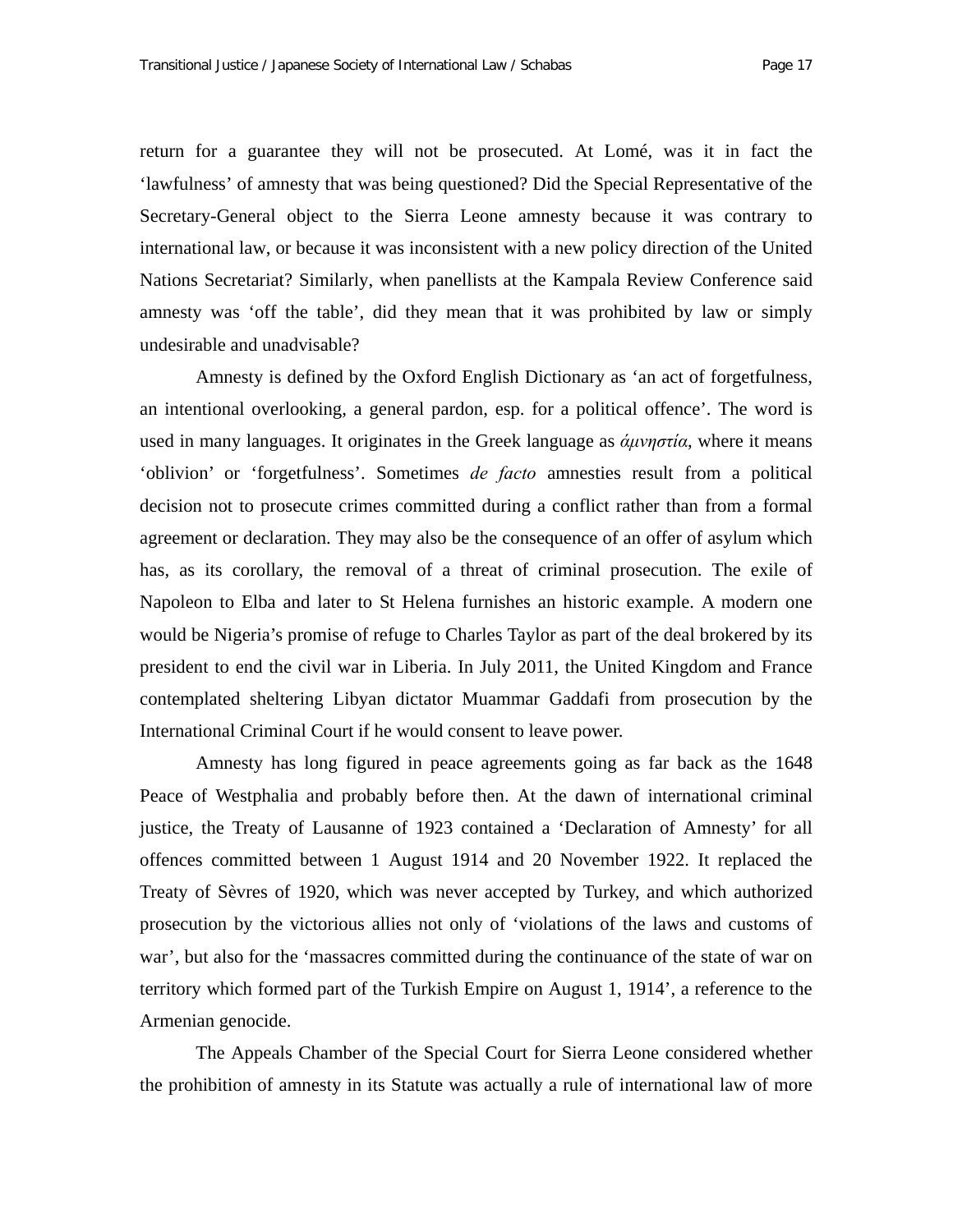return for a guarantee they will not be prosecuted. At Lomé, was it in fact the 'lawfulness' of amnesty that was being questioned? Did the Special Representative of the Secretary-General object to the Sierra Leone amnesty because it was contrary to international law, or because it was inconsistent with a new policy direction of the United Nations Secretariat? Similarly, when panellists at the Kampala Review Conference said amnesty was 'off the table', did they mean that it was prohibited by law or simply undesirable and unadvisable?

Amnesty is defined by the Oxford English Dictionary as 'an act of forgetfulness, an intentional overlooking, a general pardon, esp. for a political offence'. The word is used in many languages. It originates in the Greek language as *άμνηστία*, where it means 'oblivion' or 'forgetfulness'. Sometimes *de facto* amnesties result from a political decision not to prosecute crimes committed during a conflict rather than from a formal agreement or declaration. They may also be the consequence of an offer of asylum which has, as its corollary, the removal of a threat of criminal prosecution. The exile of Napoleon to Elba and later to St Helena furnishes an historic example. A modern one would be Nigeria's promise of refuge to Charles Taylor as part of the deal brokered by its president to end the civil war in Liberia. In July 2011, the United Kingdom and France contemplated sheltering Libyan dictator Muammar Gaddafi from prosecution by the International Criminal Court if he would consent to leave power.

Amnesty has long figured in peace agreements going as far back as the 1648 Peace of Westphalia and probably before then. At the dawn of international criminal justice, the Treaty of Lausanne of 1923 contained a 'Declaration of Amnesty' for all offences committed between 1 August 1914 and 20 November 1922. It replaced the Treaty of Sèvres of 1920, which was never accepted by Turkey, and which authorized prosecution by the victorious allies not only of 'violations of the laws and customs of war', but also for the 'massacres committed during the continuance of the state of war on territory which formed part of the Turkish Empire on August 1, 1914', a reference to the Armenian genocide.

 The Appeals Chamber of the Special Court for Sierra Leone considered whether the prohibition of amnesty in its Statute was actually a rule of international law of more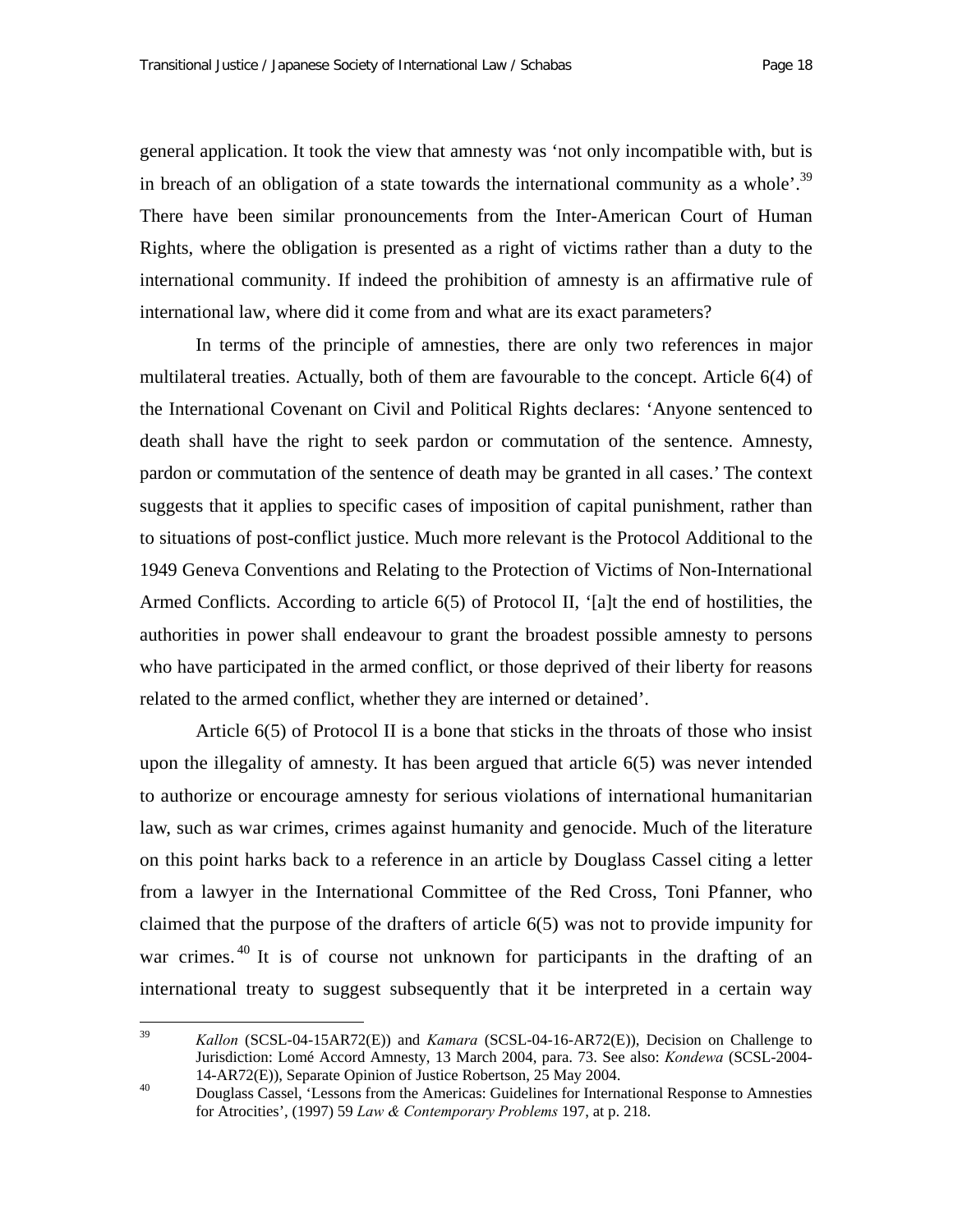general application. It took the view that amnesty was 'not only incompatible with, but is in breach of an obligation of a state towards the international community as a whole'.<sup>39</sup> There have been similar pronouncements from the Inter-American Court of Human Rights, where the obligation is presented as a right of victims rather than a duty to the international community. If indeed the prohibition of amnesty is an affirmative rule of international law, where did it come from and what are its exact parameters?

In terms of the principle of amnesties, there are only two references in major multilateral treaties. Actually, both of them are favourable to the concept. Article 6(4) of the International Covenant on Civil and Political Rights declares: 'Anyone sentenced to death shall have the right to seek pardon or commutation of the sentence. Amnesty, pardon or commutation of the sentence of death may be granted in all cases.' The context suggests that it applies to specific cases of imposition of capital punishment, rather than to situations of post-conflict justice. Much more relevant is the Protocol Additional to the 1949 Geneva Conventions and Relating to the Protection of Victims of Non-International Armed Conflicts. According to article 6(5) of Protocol II, '[a]t the end of hostilities, the authorities in power shall endeavour to grant the broadest possible amnesty to persons who have participated in the armed conflict, or those deprived of their liberty for reasons related to the armed conflict, whether they are interned or detained'.

Article  $6(5)$  of Protocol II is a bone that sticks in the throats of those who insist upon the illegality of amnesty. It has been argued that article 6(5) was never intended to authorize or encourage amnesty for serious violations of international humanitarian law, such as war crimes, crimes against humanity and genocide. Much of the literature on this point harks back to a reference in an article by Douglass Cassel citing a letter from a lawyer in the International Committee of the Red Cross, Toni Pfanner, who claimed that the purpose of the drafters of article 6(5) was not to provide impunity for war crimes.<sup>40</sup> It is of course not unknown for participants in the drafting of an international treaty to suggest subsequently that it be interpreted in a certain way

<sup>39</sup> 39 *Kallon* (SCSL-04-15AR72(E)) and *Kamara* (SCSL-04-16-AR72(E)), Decision on Challenge to Jurisdiction: Lomé Accord Amnesty, 13 March 2004, para. 73. See also: *Kondewa* (SCSL-2004- 14-AR72(E)), Separate Opinion of Justice Robertson, 25 May 2004.<br>
Douglass Cassel, 'Lessons from the Americas: Guidelines for International Response to Amnesties

for Atrocities', (1997) 59 *Law & Contemporary Problems* 197, at p. 218.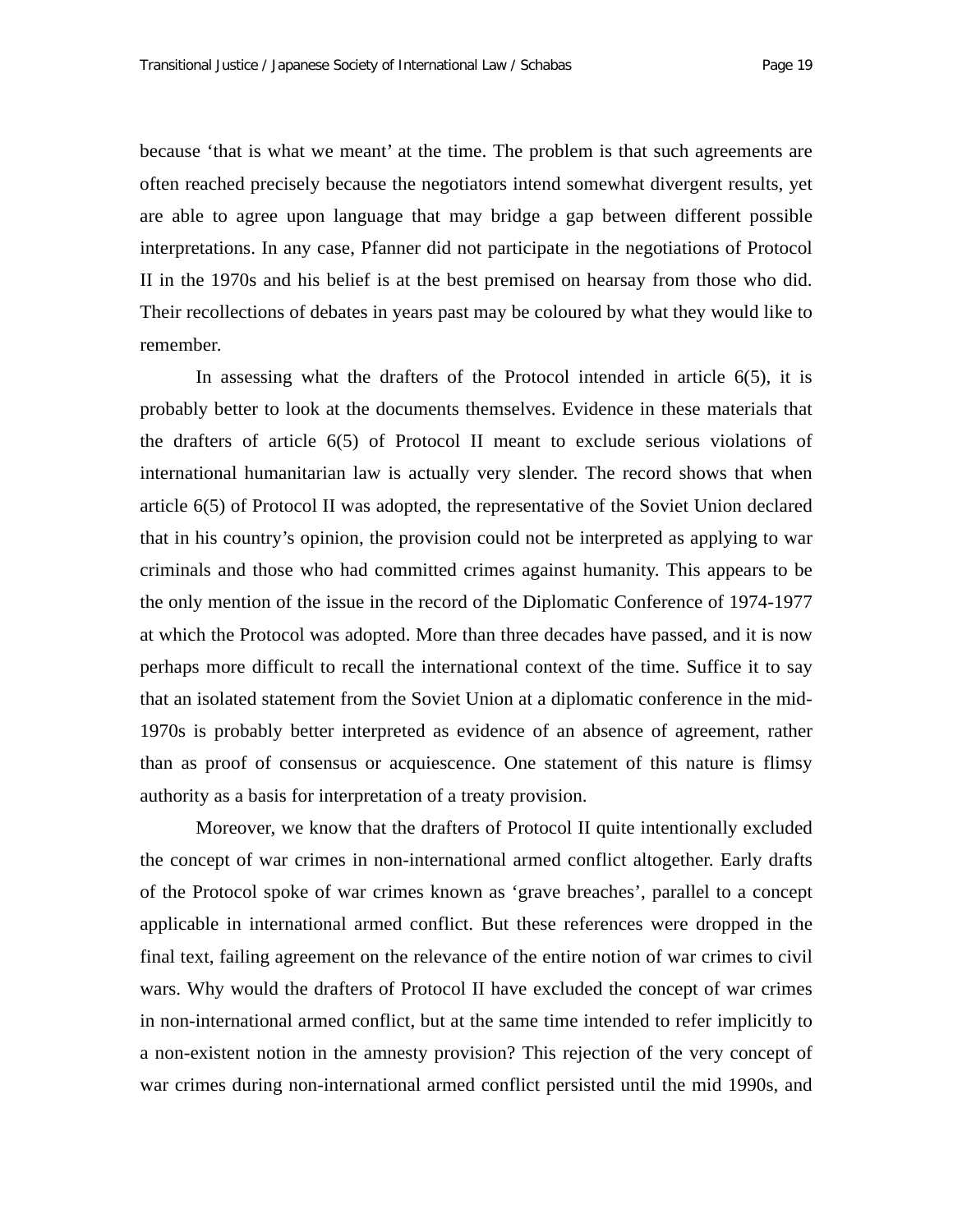because 'that is what we meant' at the time. The problem is that such agreements are often reached precisely because the negotiators intend somewhat divergent results, yet are able to agree upon language that may bridge a gap between different possible interpretations. In any case, Pfanner did not participate in the negotiations of Protocol II in the 1970s and his belief is at the best premised on hearsay from those who did. Their recollections of debates in years past may be coloured by what they would like to remember.

In assessing what the drafters of the Protocol intended in article 6(5), it is probably better to look at the documents themselves. Evidence in these materials that the drafters of article  $6(5)$  of Protocol II meant to exclude serious violations of international humanitarian law is actually very slender. The record shows that when article 6(5) of Protocol II was adopted, the representative of the Soviet Union declared that in his country's opinion, the provision could not be interpreted as applying to war criminals and those who had committed crimes against humanity. This appears to be the only mention of the issue in the record of the Diplomatic Conference of 1974-1977 at which the Protocol was adopted. More than three decades have passed, and it is now perhaps more difficult to recall the international context of the time. Suffice it to say that an isolated statement from the Soviet Union at a diplomatic conference in the mid-1970s is probably better interpreted as evidence of an absence of agreement, rather than as proof of consensus or acquiescence. One statement of this nature is flimsy authority as a basis for interpretation of a treaty provision.

Moreover, we know that the drafters of Protocol II quite intentionally excluded the concept of war crimes in non-international armed conflict altogether. Early drafts of the Protocol spoke of war crimes known as 'grave breaches', parallel to a concept applicable in international armed conflict. But these references were dropped in the final text, failing agreement on the relevance of the entire notion of war crimes to civil wars. Why would the drafters of Protocol II have excluded the concept of war crimes in non-international armed conflict, but at the same time intended to refer implicitly to a non-existent notion in the amnesty provision? This rejection of the very concept of war crimes during non-international armed conflict persisted until the mid 1990s, and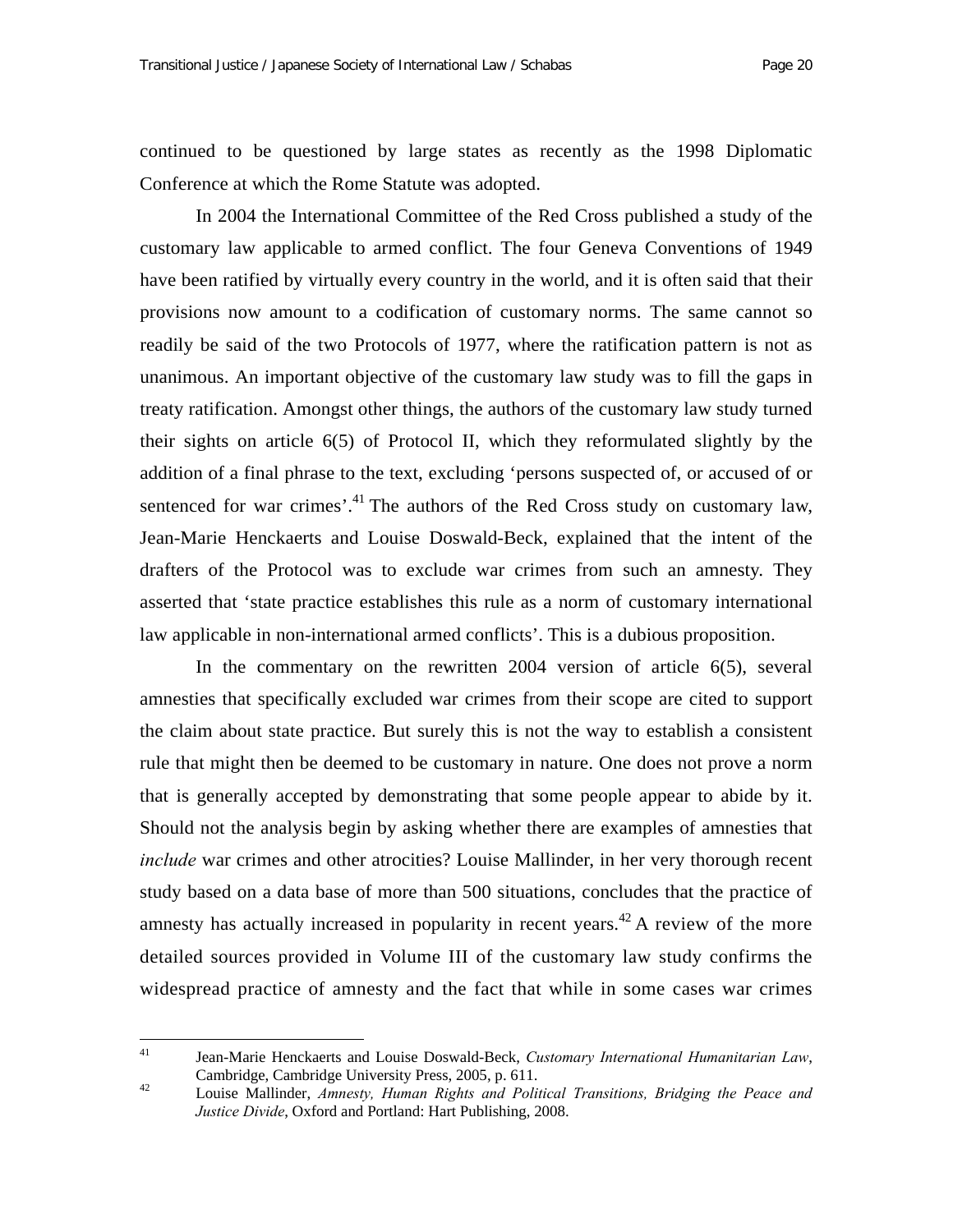continued to be questioned by large states as recently as the 1998 Diplomatic Conference at which the Rome Statute was adopted.

In 2004 the International Committee of the Red Cross published a study of the customary law applicable to armed conflict. The four Geneva Conventions of 1949 have been ratified by virtually every country in the world, and it is often said that their provisions now amount to a codification of customary norms. The same cannot so readily be said of the two Protocols of 1977, where the ratification pattern is not as unanimous. An important objective of the customary law study was to fill the gaps in treaty ratification. Amongst other things, the authors of the customary law study turned their sights on article 6(5) of Protocol II, which they reformulated slightly by the addition of a final phrase to the text, excluding 'persons suspected of, or accused of or sentenced for war crimes'.<sup>41</sup> The authors of the Red Cross study on customary law, Jean-Marie Henckaerts and Louise Doswald-Beck, explained that the intent of the drafters of the Protocol was to exclude war crimes from such an amnesty. They asserted that 'state practice establishes this rule as a norm of customary international law applicable in non-international armed conflicts'. This is a dubious proposition.

In the commentary on the rewritten  $2004$  version of article  $6(5)$ , several amnesties that specifically excluded war crimes from their scope are cited to support the claim about state practice. But surely this is not the way to establish a consistent rule that might then be deemed to be customary in nature. One does not prove a norm that is generally accepted by demonstrating that some people appear to abide by it. Should not the analysis begin by asking whether there are examples of amnesties that *include* war crimes and other atrocities? Louise Mallinder, in her very thorough recent study based on a data base of more than 500 situations, concludes that the practice of amnesty has actually increased in popularity in recent years.<sup> $42$ </sup> A review of the more detailed sources provided in Volume III of the customary law study confirms the widespread practice of amnesty and the fact that while in some cases war crimes

<sup>41</sup> 41 Jean-Marie Henckaerts and Louise Doswald-Beck, *Customary International Humanitarian Law*, Cambridge, Cambridge University Press, 2005, p. 611. 42 Louise Mallinder, *Amnesty, Human Rights and Political Transitions, Bridging the Peace and* 

*Justice Divide*, Oxford and Portland: Hart Publishing, 2008.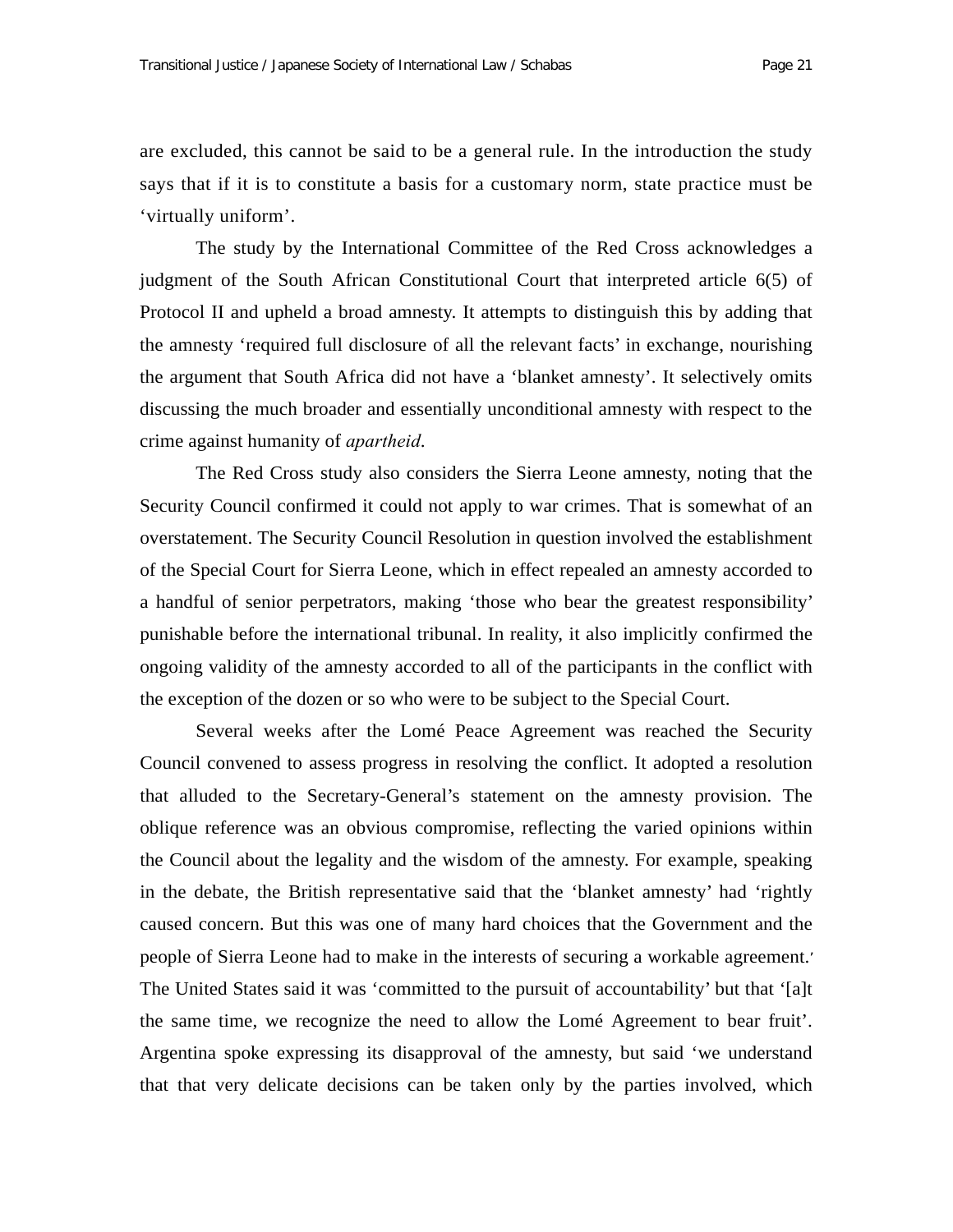are excluded, this cannot be said to be a general rule. In the introduction the study says that if it is to constitute a basis for a customary norm, state practice must be 'virtually uniform'.

The study by the International Committee of the Red Cross acknowledges a judgment of the South African Constitutional Court that interpreted article 6(5) of Protocol II and upheld a broad amnesty. It attempts to distinguish this by adding that the amnesty 'required full disclosure of all the relevant facts' in exchange, nourishing the argument that South Africa did not have a 'blanket amnesty'. It selectively omits discussing the much broader and essentially unconditional amnesty with respect to the crime against humanity of *apartheid*.

The Red Cross study also considers the Sierra Leone amnesty, noting that the Security Council confirmed it could not apply to war crimes. That is somewhat of an overstatement. The Security Council Resolution in question involved the establishment of the Special Court for Sierra Leone, which in effect repealed an amnesty accorded to a handful of senior perpetrators, making 'those who bear the greatest responsibility' punishable before the international tribunal. In reality, it also implicitly confirmed the ongoing validity of the amnesty accorded to all of the participants in the conflict with the exception of the dozen or so who were to be subject to the Special Court.

Several weeks after the Lomé Peace Agreement was reached the Security Council convened to assess progress in resolving the conflict. It adopted a resolution that alluded to the Secretary-General's statement on the amnesty provision. The oblique reference was an obvious compromise, reflecting the varied opinions within the Council about the legality and the wisdom of the amnesty. For example, speaking in the debate, the British representative said that the 'blanket amnesty' had 'rightly caused concern. But this was one of many hard choices that the Government and the people of Sierra Leone had to make in the interests of securing a workable agreement.' The United States said it was 'committed to the pursuit of accountability' but that '[a]t the same time, we recognize the need to allow the Lomé Agreement to bear fruit'. Argentina spoke expressing its disapproval of the amnesty, but said 'we understand that that very delicate decisions can be taken only by the parties involved, which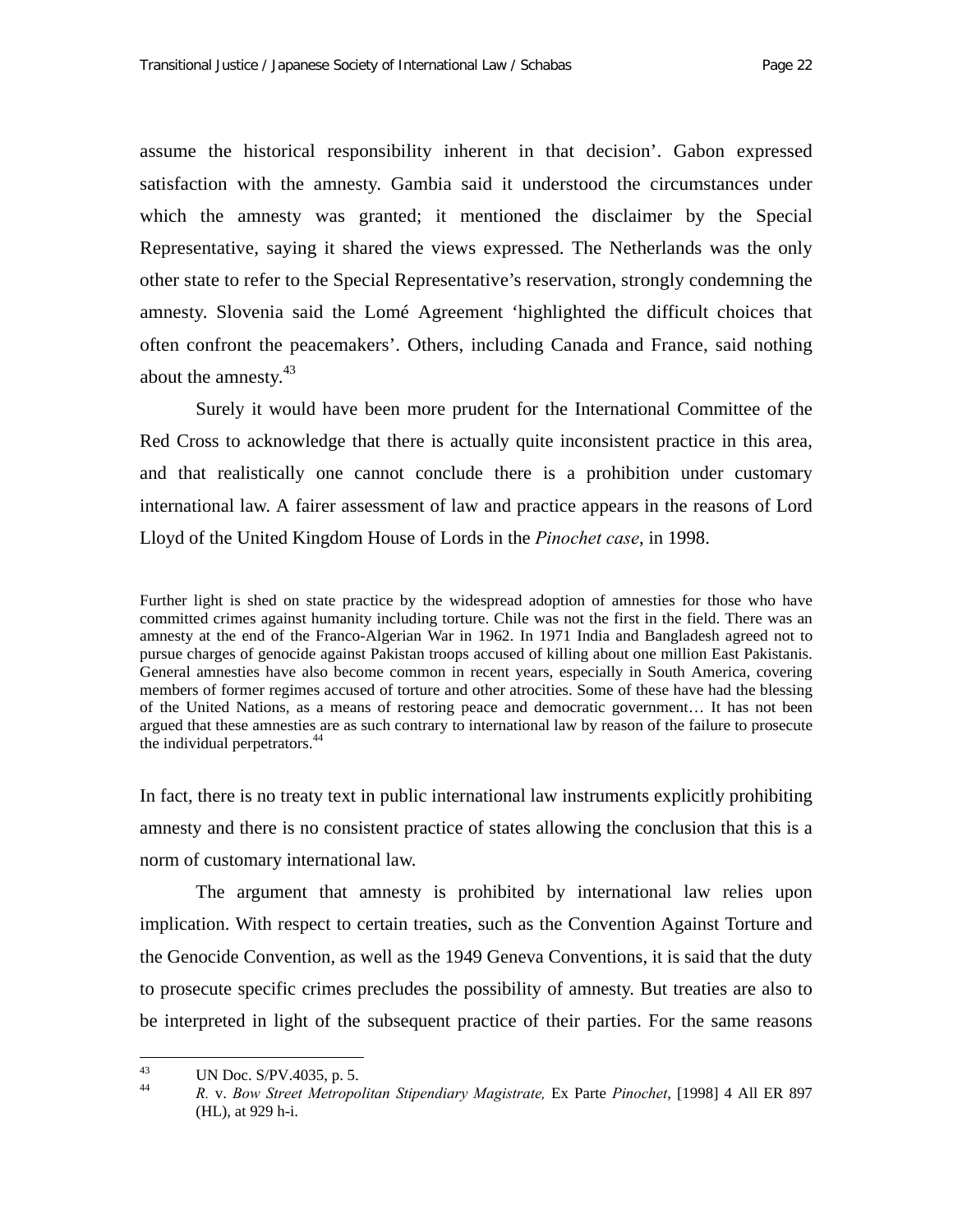assume the historical responsibility inherent in that decision'. Gabon expressed satisfaction with the amnesty. Gambia said it understood the circumstances under which the amnesty was granted; it mentioned the disclaimer by the Special Representative, saying it shared the views expressed. The Netherlands was the only other state to refer to the Special Representative's reservation, strongly condemning the amnesty. Slovenia said the Lomé Agreement 'highlighted the difficult choices that often confront the peacemakers'. Others, including Canada and France, said nothing about the amnesty. $43$ 

Surely it would have been more prudent for the International Committee of the Red Cross to acknowledge that there is actually quite inconsistent practice in this area, and that realistically one cannot conclude there is a prohibition under customary international law. A fairer assessment of law and practice appears in the reasons of Lord Lloyd of the United Kingdom House of Lords in the *Pinochet case*, in 1998.

Further light is shed on state practice by the widespread adoption of amnesties for those who have committed crimes against humanity including torture. Chile was not the first in the field. There was an amnesty at the end of the Franco-Algerian War in 1962. In 1971 India and Bangladesh agreed not to pursue charges of genocide against Pakistan troops accused of killing about one million East Pakistanis. General amnesties have also become common in recent years, especially in South America, covering members of former regimes accused of torture and other atrocities. Some of these have had the blessing of the United Nations, as a means of restoring peace and democratic government… It has not been argued that these amnesties are as such contrary to international law by reason of the failure to prosecute the individual perpetrators.<sup>44</sup>

In fact, there is no treaty text in public international law instruments explicitly prohibiting amnesty and there is no consistent practice of states allowing the conclusion that this is a norm of customary international law.

The argument that amnesty is prohibited by international law relies upon implication. With respect to certain treaties, such as the Convention Against Torture and the Genocide Convention, as well as the 1949 Geneva Conventions, it is said that the duty to prosecute specific crimes precludes the possibility of amnesty. But treaties are also to be interpreted in light of the subsequent practice of their parties. For the same reasons

<sup>43</sup> <sup>43</sup> UN Doc. S/PV.4035, p. 5.<br><sup>44</sup> P. y. Bow Street Metropo

<sup>44</sup> *R.* v. *Bow Street Metropolitan Stipendiary Magistrate,* Ex Parte *Pinochet*, [1998] 4 All ER 897 (HL), at 929 h-i.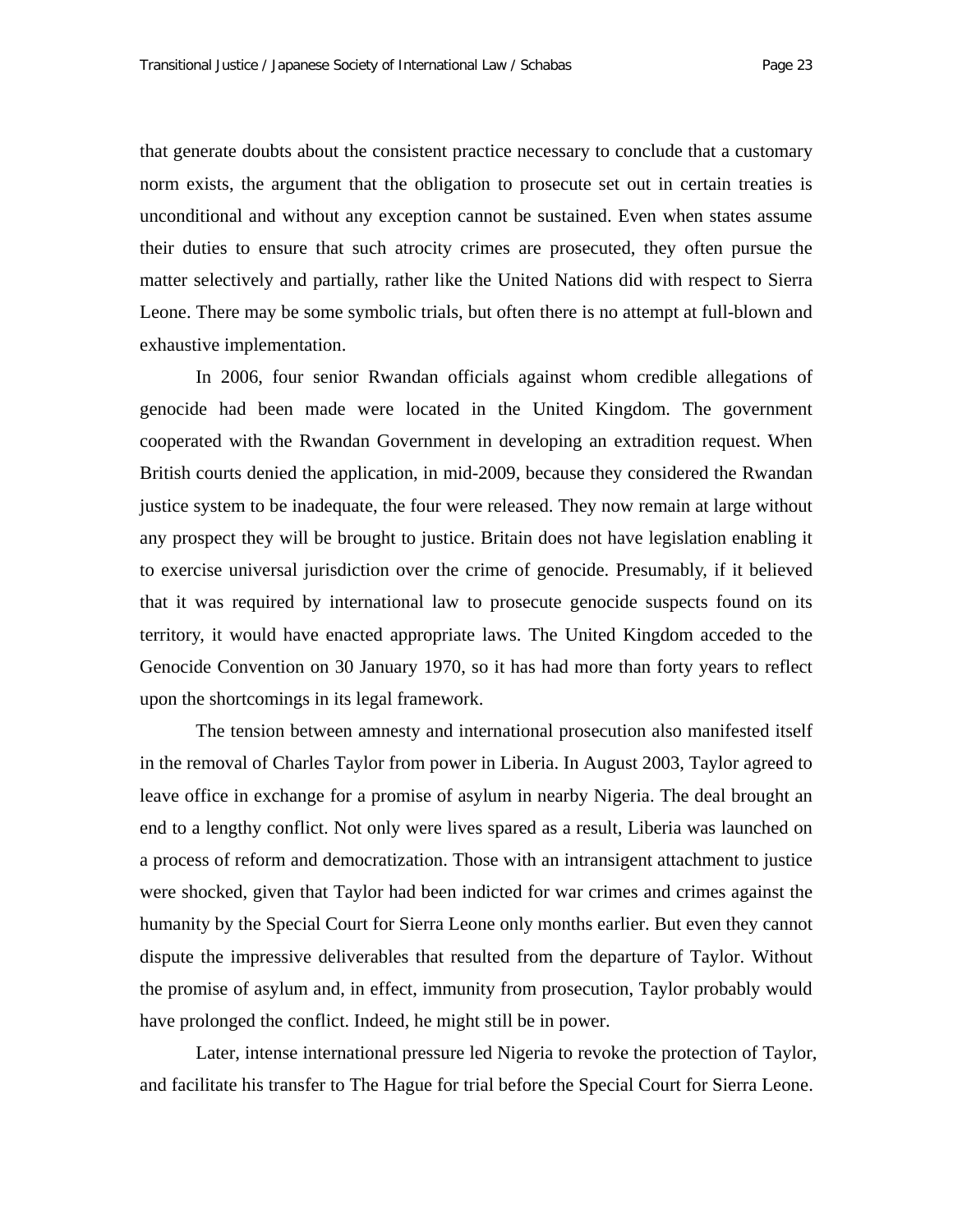that generate doubts about the consistent practice necessary to conclude that a customary norm exists, the argument that the obligation to prosecute set out in certain treaties is unconditional and without any exception cannot be sustained. Even when states assume their duties to ensure that such atrocity crimes are prosecuted, they often pursue the matter selectively and partially, rather like the United Nations did with respect to Sierra Leone. There may be some symbolic trials, but often there is no attempt at full-blown and exhaustive implementation.

 In 2006, four senior Rwandan officials against whom credible allegations of genocide had been made were located in the United Kingdom. The government cooperated with the Rwandan Government in developing an extradition request. When British courts denied the application, in mid-2009, because they considered the Rwandan justice system to be inadequate, the four were released. They now remain at large without any prospect they will be brought to justice. Britain does not have legislation enabling it to exercise universal jurisdiction over the crime of genocide. Presumably, if it believed that it was required by international law to prosecute genocide suspects found on its territory, it would have enacted appropriate laws. The United Kingdom acceded to the Genocide Convention on 30 January 1970, so it has had more than forty years to reflect upon the shortcomings in its legal framework.

The tension between amnesty and international prosecution also manifested itself in the removal of Charles Taylor from power in Liberia. In August 2003, Taylor agreed to leave office in exchange for a promise of asylum in nearby Nigeria. The deal brought an end to a lengthy conflict. Not only were lives spared as a result, Liberia was launched on a process of reform and democratization. Those with an intransigent attachment to justice were shocked, given that Taylor had been indicted for war crimes and crimes against the humanity by the Special Court for Sierra Leone only months earlier. But even they cannot dispute the impressive deliverables that resulted from the departure of Taylor. Without the promise of asylum and, in effect, immunity from prosecution, Taylor probably would have prolonged the conflict. Indeed, he might still be in power.

Later, intense international pressure led Nigeria to revoke the protection of Taylor, and facilitate his transfer to The Hague for trial before the Special Court for Sierra Leone.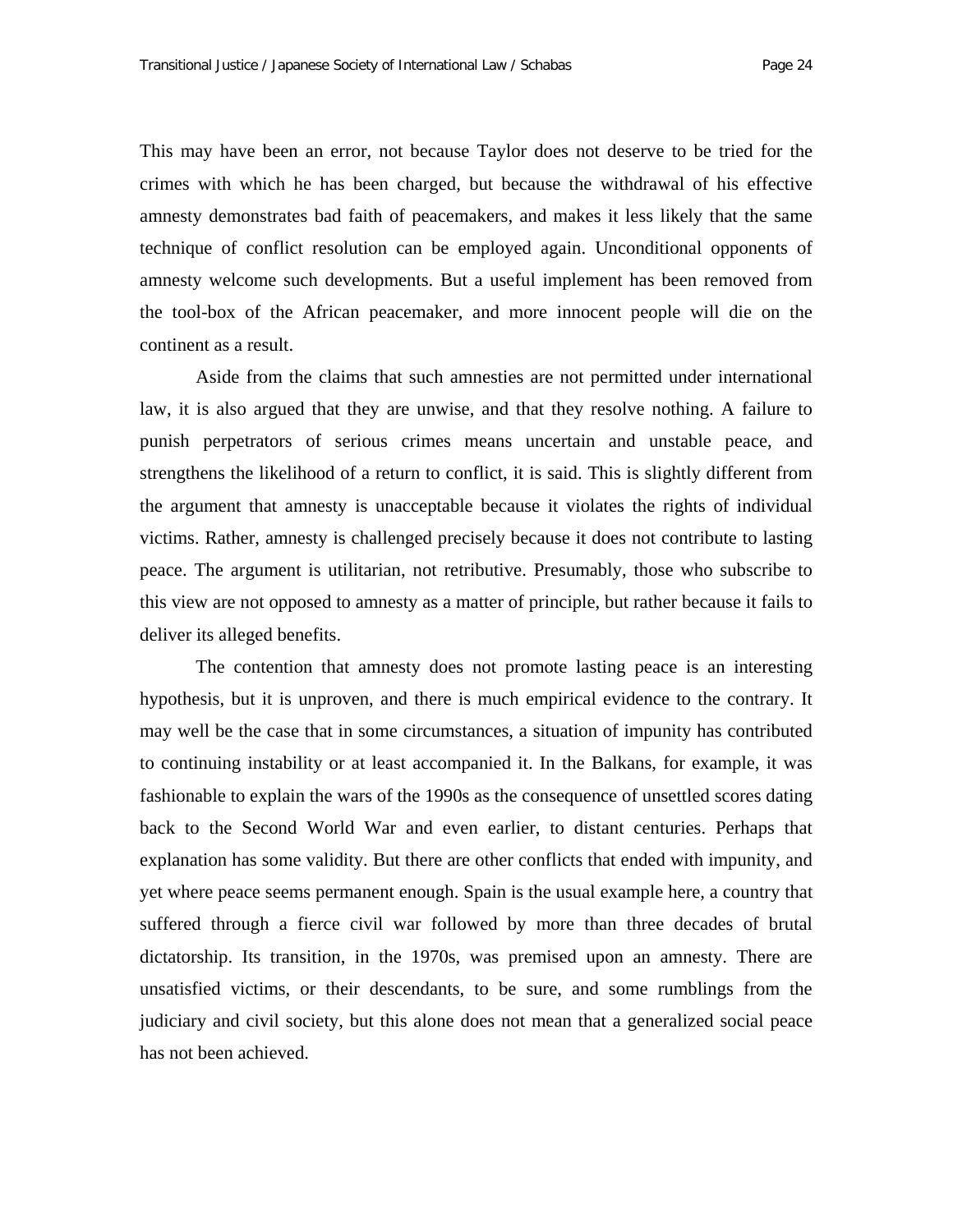This may have been an error, not because Taylor does not deserve to be tried for the crimes with which he has been charged, but because the withdrawal of his effective amnesty demonstrates bad faith of peacemakers, and makes it less likely that the same technique of conflict resolution can be employed again. Unconditional opponents of amnesty welcome such developments. But a useful implement has been removed from the tool-box of the African peacemaker, and more innocent people will die on the continent as a result.

Aside from the claims that such amnesties are not permitted under international law, it is also argued that they are unwise, and that they resolve nothing. A failure to punish perpetrators of serious crimes means uncertain and unstable peace, and strengthens the likelihood of a return to conflict, it is said. This is slightly different from the argument that amnesty is unacceptable because it violates the rights of individual victims. Rather, amnesty is challenged precisely because it does not contribute to lasting peace. The argument is utilitarian, not retributive. Presumably, those who subscribe to this view are not opposed to amnesty as a matter of principle, but rather because it fails to deliver its alleged benefits.

The contention that amnesty does not promote lasting peace is an interesting hypothesis, but it is unproven, and there is much empirical evidence to the contrary. It may well be the case that in some circumstances, a situation of impunity has contributed to continuing instability or at least accompanied it. In the Balkans, for example, it was fashionable to explain the wars of the 1990s as the consequence of unsettled scores dating back to the Second World War and even earlier, to distant centuries. Perhaps that explanation has some validity. But there are other conflicts that ended with impunity, and yet where peace seems permanent enough. Spain is the usual example here, a country that suffered through a fierce civil war followed by more than three decades of brutal dictatorship. Its transition, in the 1970s, was premised upon an amnesty. There are unsatisfied victims, or their descendants, to be sure, and some rumblings from the judiciary and civil society, but this alone does not mean that a generalized social peace has not been achieved.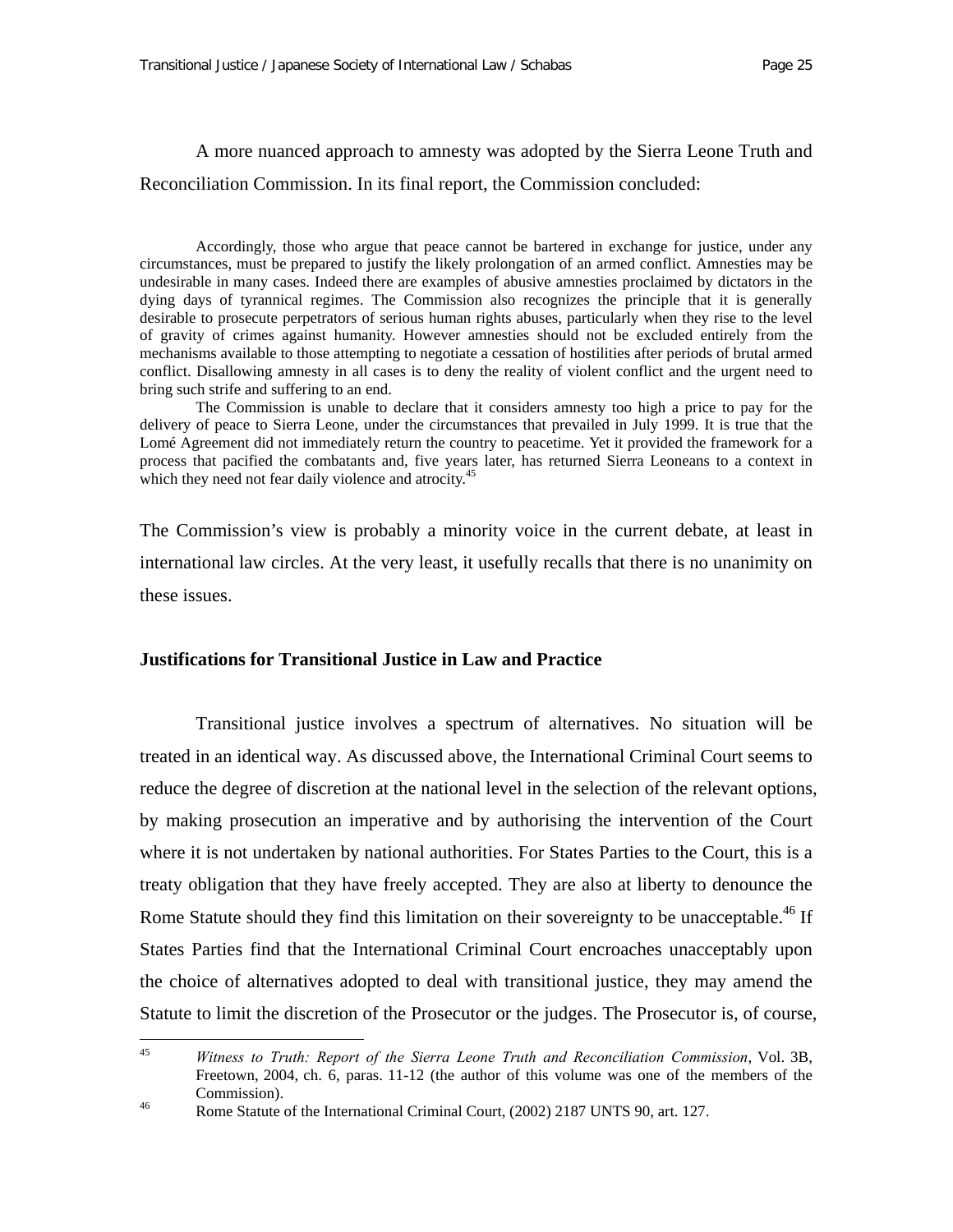A more nuanced approach to amnesty was adopted by the Sierra Leone Truth and Reconciliation Commission. In its final report, the Commission concluded:

Accordingly, those who argue that peace cannot be bartered in exchange for justice, under any circumstances, must be prepared to justify the likely prolongation of an armed conflict. Amnesties may be undesirable in many cases. Indeed there are examples of abusive amnesties proclaimed by dictators in the dying days of tyrannical regimes. The Commission also recognizes the principle that it is generally desirable to prosecute perpetrators of serious human rights abuses, particularly when they rise to the level of gravity of crimes against humanity. However amnesties should not be excluded entirely from the mechanisms available to those attempting to negotiate a cessation of hostilities after periods of brutal armed conflict. Disallowing amnesty in all cases is to deny the reality of violent conflict and the urgent need to bring such strife and suffering to an end.

The Commission is unable to declare that it considers amnesty too high a price to pay for the delivery of peace to Sierra Leone, under the circumstances that prevailed in July 1999. It is true that the Lomé Agreement did not immediately return the country to peacetime. Yet it provided the framework for a process that pacified the combatants and, five years later, has returned Sierra Leoneans to a context in which they need not fear daily violence and atrocity.<sup>45</sup>

The Commission's view is probably a minority voice in the current debate, at least in international law circles. At the very least, it usefully recalls that there is no unanimity on these issues.

### **Justifications for Transitional Justice in Law and Practice**

Transitional justice involves a spectrum of alternatives. No situation will be treated in an identical way. As discussed above, the International Criminal Court seems to reduce the degree of discretion at the national level in the selection of the relevant options, by making prosecution an imperative and by authorising the intervention of the Court where it is not undertaken by national authorities. For States Parties to the Court, this is a treaty obligation that they have freely accepted. They are also at liberty to denounce the Rome Statute should they find this limitation on their sovereignty to be unacceptable.<sup>46</sup> If States Parties find that the International Criminal Court encroaches unacceptably upon the choice of alternatives adopted to deal with transitional justice, they may amend the Statute to limit the discretion of the Prosecutor or the judges. The Prosecutor is, of course,

 $45$ 45 *Witness to Truth: Report of the Sierra Leone Truth and Reconciliation Commission*, Vol. 3B, Freetown, 2004, ch. 6, paras. 11-12 (the author of this volume was one of the members of the Commission). 46 Rome Statute of the International Criminal Court, (2002) 2187 UNTS 90, art. 127.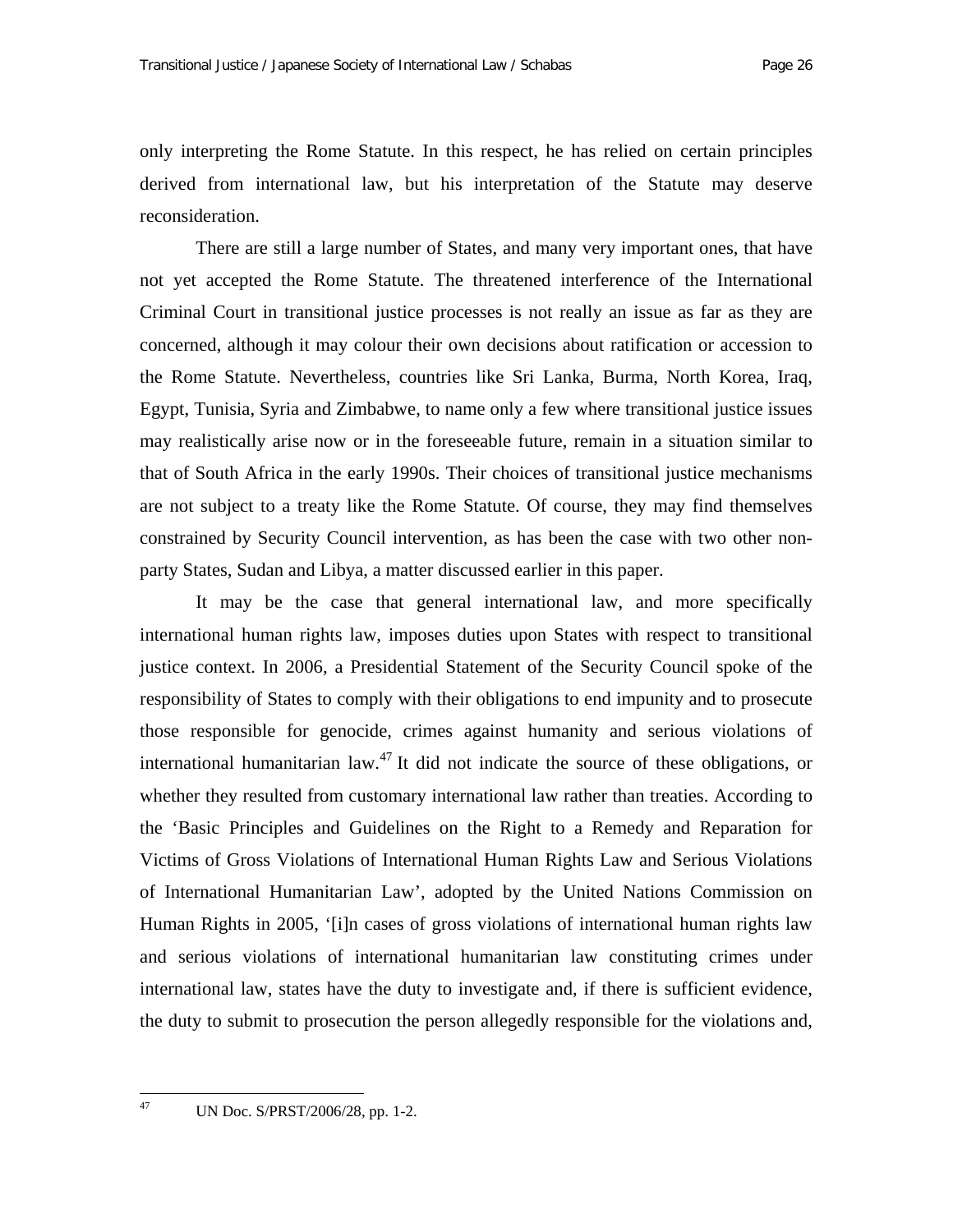only interpreting the Rome Statute. In this respect, he has relied on certain principles derived from international law, but his interpretation of the Statute may deserve reconsideration.

There are still a large number of States, and many very important ones, that have not yet accepted the Rome Statute. The threatened interference of the International Criminal Court in transitional justice processes is not really an issue as far as they are concerned, although it may colour their own decisions about ratification or accession to the Rome Statute. Nevertheless, countries like Sri Lanka, Burma, North Korea, Iraq, Egypt, Tunisia, Syria and Zimbabwe, to name only a few where transitional justice issues may realistically arise now or in the foreseeable future, remain in a situation similar to that of South Africa in the early 1990s. Their choices of transitional justice mechanisms are not subject to a treaty like the Rome Statute. Of course, they may find themselves constrained by Security Council intervention, as has been the case with two other nonparty States, Sudan and Libya, a matter discussed earlier in this paper.

It may be the case that general international law, and more specifically international human rights law, imposes duties upon States with respect to transitional justice context. In 2006, a Presidential Statement of the Security Council spoke of the responsibility of States to comply with their obligations to end impunity and to prosecute those responsible for genocide, crimes against humanity and serious violations of international humanitarian law.<sup>47</sup> It did not indicate the source of these obligations, or whether they resulted from customary international law rather than treaties. According to the 'Basic Principles and Guidelines on the Right to a Remedy and Reparation for Victims of Gross Violations of International Human Rights Law and Serious Violations of International Humanitarian Law', adopted by the United Nations Commission on Human Rights in 2005, '[i]n cases of gross violations of international human rights law and serious violations of international humanitarian law constituting crimes under international law, states have the duty to investigate and, if there is sufficient evidence, the duty to submit to prosecution the person allegedly responsible for the violations and,

47 47 UN Doc. S/PRST/2006/28, pp. 1-2.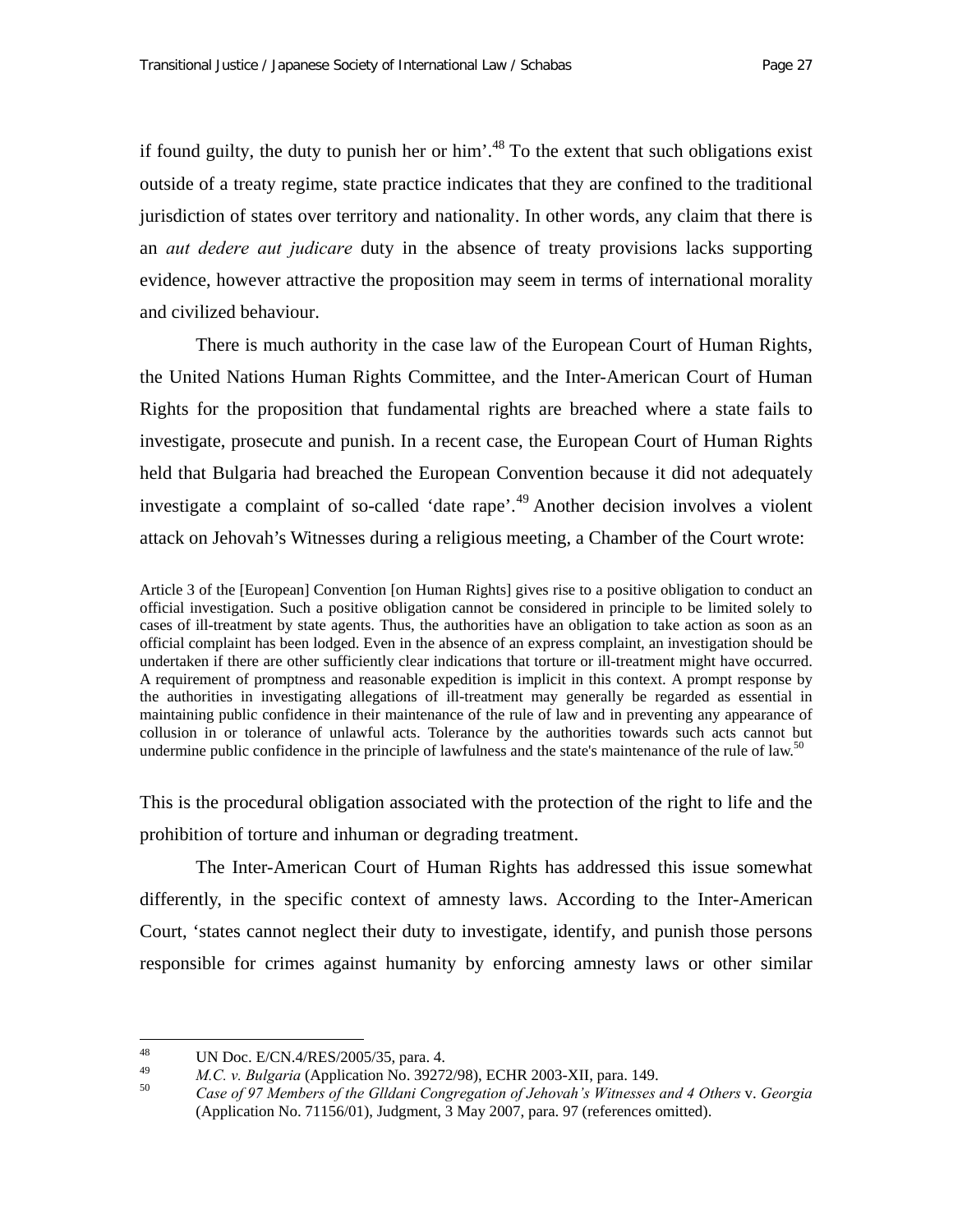if found guilty, the duty to punish her or him'.<sup>48</sup> To the extent that such obligations exist outside of a treaty regime, state practice indicates that they are confined to the traditional jurisdiction of states over territory and nationality. In other words, any claim that there is an *aut dedere aut judicare* duty in the absence of treaty provisions lacks supporting evidence, however attractive the proposition may seem in terms of international morality and civilized behaviour.

There is much authority in the case law of the European Court of Human Rights, the United Nations Human Rights Committee, and the Inter-American Court of Human Rights for the proposition that fundamental rights are breached where a state fails to investigate, prosecute and punish. In a recent case, the European Court of Human Rights held that Bulgaria had breached the European Convention because it did not adequately investigate a complaint of so-called 'date rape'.<sup>49</sup> Another decision involves a violent attack on Jehovah's Witnesses during a religious meeting, a Chamber of the Court wrote:

Article 3 of the [European] Convention [on Human Rights] gives rise to a positive obligation to conduct an official investigation. Such a positive obligation cannot be considered in principle to be limited solely to cases of ill-treatment by state agents. Thus, the authorities have an obligation to take action as soon as an official complaint has been lodged. Even in the absence of an express complaint, an investigation should be undertaken if there are other sufficiently clear indications that torture or ill-treatment might have occurred. A requirement of promptness and reasonable expedition is implicit in this context. A prompt response by the authorities in investigating allegations of ill-treatment may generally be regarded as essential in maintaining public confidence in their maintenance of the rule of law and in preventing any appearance of collusion in or tolerance of unlawful acts. Tolerance by the authorities towards such acts cannot but undermine public confidence in the principle of lawfulness and the state's maintenance of the rule of law.<sup>50</sup>

This is the procedural obligation associated with the protection of the right to life and the prohibition of torture and inhuman or degrading treatment.

The Inter-American Court of Human Rights has addressed this issue somewhat differently, in the specific context of amnesty laws. According to the Inter-American Court, 'states cannot neglect their duty to investigate, identify, and punish those persons responsible for crimes against humanity by enforcing amnesty laws or other similar

<sup>48</sup> <sup>48</sup> UN Doc. E/CN.4/RES/2005/35, para. 4.<br>
<sup>49</sup> *M.C. v. Bulgaria* (Application No. 3027)

<sup>&</sup>lt;sup>49</sup> M.C. v. Bulgaria (Application No. 39272/98), ECHR 2003-XII, para. 149.<br><sup>50</sup> *Case of 97 Members of the Glldani Congregation of Jehovah's Witnesses and 4 Others v. Georgia* (Application No. 71156/01), Judgment, 3 May 2007, para. 97 (references omitted).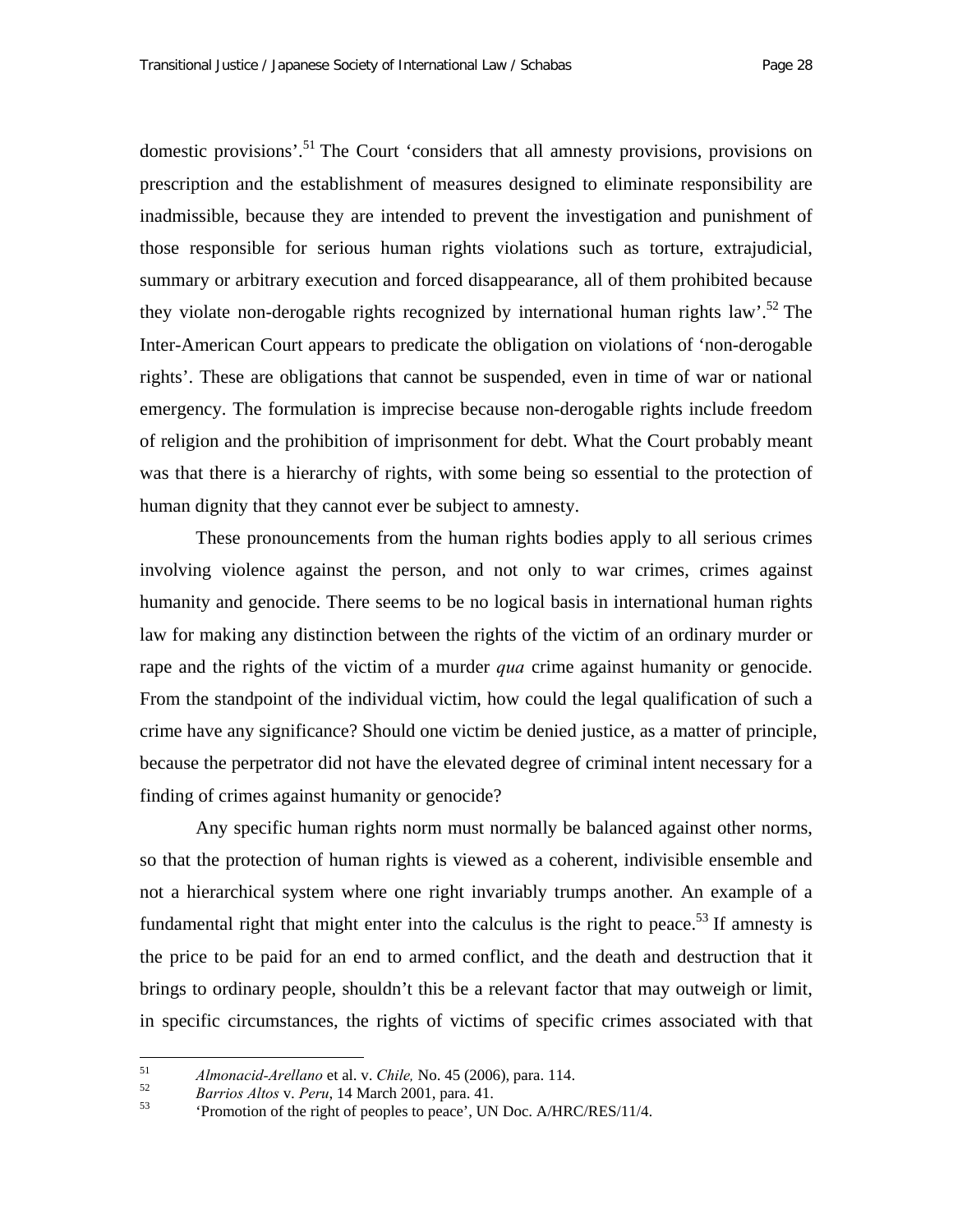domestic provisions'.<sup>51</sup> The Court 'considers that all amnesty provisions, provisions on prescription and the establishment of measures designed to eliminate responsibility are inadmissible, because they are intended to prevent the investigation and punishment of those responsible for serious human rights violations such as torture, extrajudicial, summary or arbitrary execution and forced disappearance, all of them prohibited because they violate non-derogable rights recognized by international human rights law'.<sup>52</sup> The Inter-American Court appears to predicate the obligation on violations of 'non-derogable rights'. These are obligations that cannot be suspended, even in time of war or national emergency. The formulation is imprecise because non-derogable rights include freedom of religion and the prohibition of imprisonment for debt. What the Court probably meant was that there is a hierarchy of rights, with some being so essential to the protection of human dignity that they cannot ever be subject to amnesty.

These pronouncements from the human rights bodies apply to all serious crimes involving violence against the person, and not only to war crimes, crimes against humanity and genocide. There seems to be no logical basis in international human rights law for making any distinction between the rights of the victim of an ordinary murder or rape and the rights of the victim of a murder *qua* crime against humanity or genocide. From the standpoint of the individual victim, how could the legal qualification of such a crime have any significance? Should one victim be denied justice, as a matter of principle, because the perpetrator did not have the elevated degree of criminal intent necessary for a finding of crimes against humanity or genocide?

Any specific human rights norm must normally be balanced against other norms, so that the protection of human rights is viewed as a coherent, indivisible ensemble and not a hierarchical system where one right invariably trumps another. An example of a fundamental right that might enter into the calculus is the right to peace.<sup>53</sup> If amnesty is the price to be paid for an end to armed conflict, and the death and destruction that it brings to ordinary people, shouldn't this be a relevant factor that may outweigh or limit, in specific circumstances, the rights of victims of specific crimes associated with that

<sup>51</sup> 

<sup>&</sup>lt;sup>51</sup><br>*Almonacid-Arellano* et al. v. *Chile*, No. 45 (2006), para. 114.<br>*Barrios Altos v. Peru*, 14 March 2001, para. 41.<br>**Promotion of the right of peoples to peace'**, UN Doc. A/HRC/RES/11/4.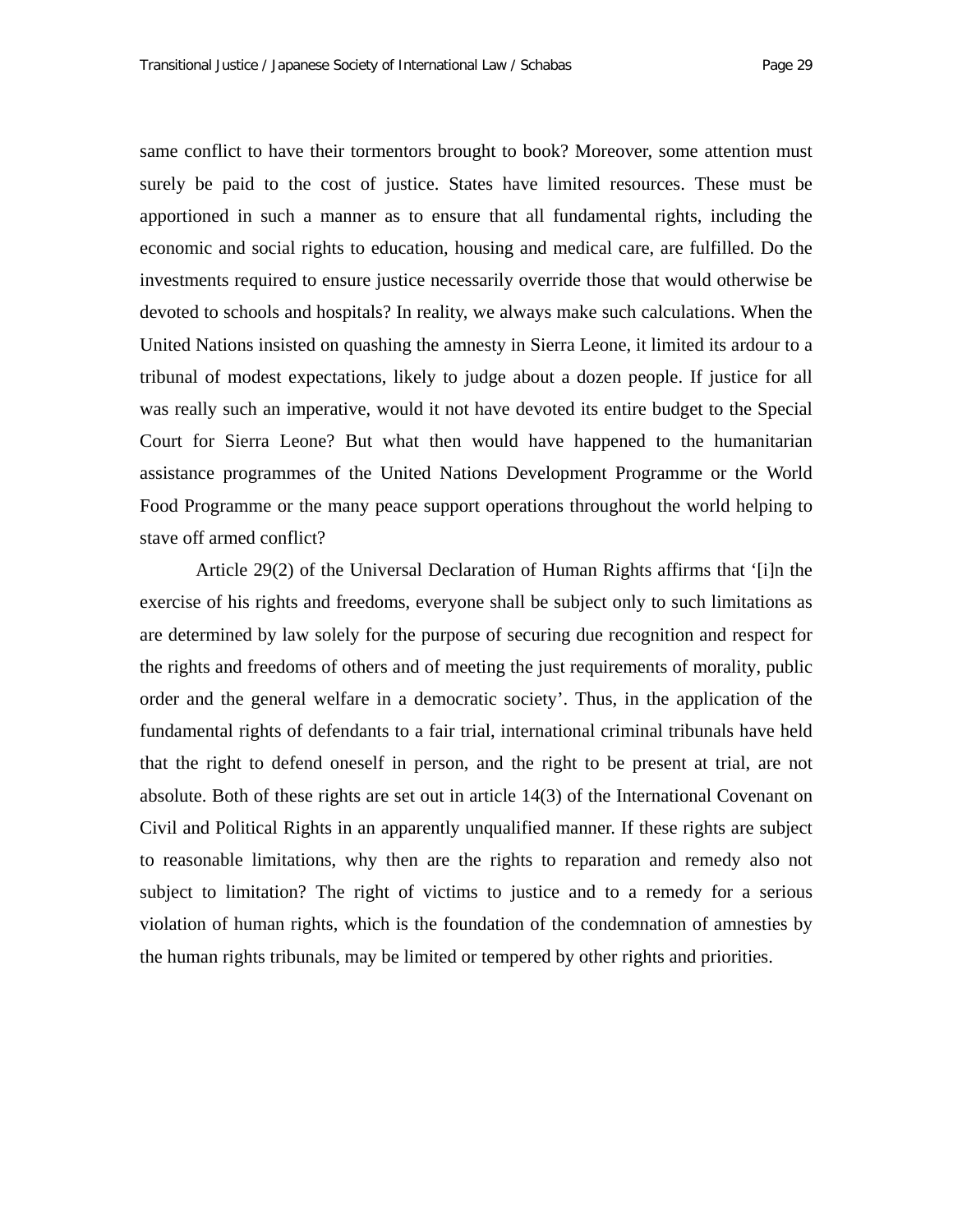same conflict to have their tormentors brought to book? Moreover, some attention must surely be paid to the cost of justice. States have limited resources. These must be apportioned in such a manner as to ensure that all fundamental rights, including the economic and social rights to education, housing and medical care, are fulfilled. Do the investments required to ensure justice necessarily override those that would otherwise be devoted to schools and hospitals? In reality, we always make such calculations. When the United Nations insisted on quashing the amnesty in Sierra Leone, it limited its ardour to a tribunal of modest expectations, likely to judge about a dozen people. If justice for all was really such an imperative, would it not have devoted its entire budget to the Special Court for Sierra Leone? But what then would have happened to the humanitarian assistance programmes of the United Nations Development Programme or the World Food Programme or the many peace support operations throughout the world helping to stave off armed conflict?

Article 29(2) of the Universal Declaration of Human Rights affirms that '[i]n the exercise of his rights and freedoms, everyone shall be subject only to such limitations as are determined by law solely for the purpose of securing due recognition and respect for the rights and freedoms of others and of meeting the just requirements of morality, public order and the general welfare in a democratic society'. Thus, in the application of the fundamental rights of defendants to a fair trial, international criminal tribunals have held that the right to defend oneself in person, and the right to be present at trial, are not absolute. Both of these rights are set out in article 14(3) of the International Covenant on Civil and Political Rights in an apparently unqualified manner. If these rights are subject to reasonable limitations, why then are the rights to reparation and remedy also not subject to limitation? The right of victims to justice and to a remedy for a serious violation of human rights, which is the foundation of the condemnation of amnesties by the human rights tribunals, may be limited or tempered by other rights and priorities.